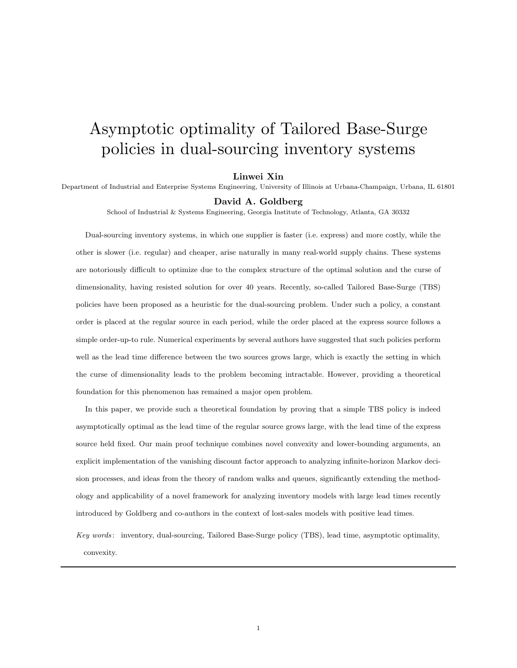# Asymptotic optimality of Tailored Base-Surge policies in dual-sourcing inventory systems

#### Linwei Xin

Department of Industrial and Enterprise Systems Engineering, University of Illinois at Urbana-Champaign, Urbana, IL 61801

#### David A. Goldberg

School of Industrial & Systems Engineering, Georgia Institute of Technology, Atlanta, GA 30332

Dual-sourcing inventory systems, in which one supplier is faster (i.e. express) and more costly, while the other is slower (i.e. regular) and cheaper, arise naturally in many real-world supply chains. These systems are notoriously difficult to optimize due to the complex structure of the optimal solution and the curse of dimensionality, having resisted solution for over 40 years. Recently, so-called Tailored Base-Surge (TBS) policies have been proposed as a heuristic for the dual-sourcing problem. Under such a policy, a constant order is placed at the regular source in each period, while the order placed at the express source follows a simple order-up-to rule. Numerical experiments by several authors have suggested that such policies perform well as the lead time difference between the two sources grows large, which is exactly the setting in which the curse of dimensionality leads to the problem becoming intractable. However, providing a theoretical foundation for this phenomenon has remained a major open problem.

In this paper, we provide such a theoretical foundation by proving that a simple TBS policy is indeed asymptotically optimal as the lead time of the regular source grows large, with the lead time of the express source held fixed. Our main proof technique combines novel convexity and lower-bounding arguments, an explicit implementation of the vanishing discount factor approach to analyzing infinite-horizon Markov decision processes, and ideas from the theory of random walks and queues, significantly extending the methodology and applicability of a novel framework for analyzing inventory models with large lead times recently introduced by Goldberg and co-authors in the context of lost-sales models with positive lead times.

Key words: inventory, dual-sourcing, Tailored Base-Surge policy (TBS), lead time, asymptotic optimality, convexity.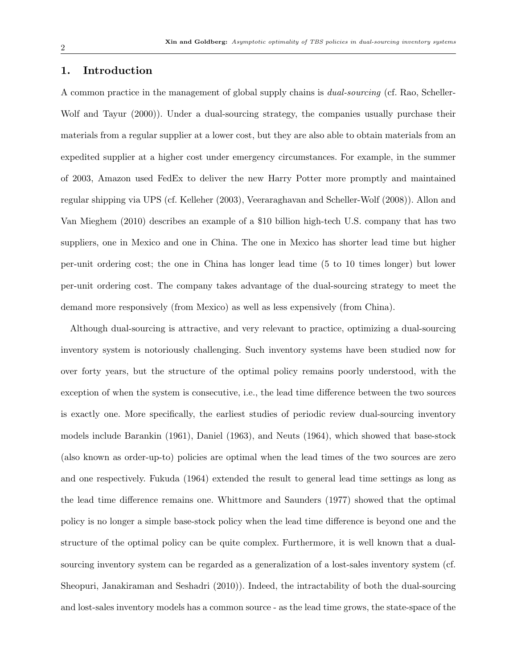# 1. Introduction

A common practice in the management of global supply chains is dual-sourcing (cf. Rao, Scheller-Wolf and Tayur (2000)). Under a dual-sourcing strategy, the companies usually purchase their materials from a regular supplier at a lower cost, but they are also able to obtain materials from an expedited supplier at a higher cost under emergency circumstances. For example, in the summer of 2003, Amazon used FedEx to deliver the new Harry Potter more promptly and maintained regular shipping via UPS (cf. Kelleher (2003), Veeraraghavan and Scheller-Wolf (2008)). Allon and Van Mieghem (2010) describes an example of a \$10 billion high-tech U.S. company that has two suppliers, one in Mexico and one in China. The one in Mexico has shorter lead time but higher per-unit ordering cost; the one in China has longer lead time (5 to 10 times longer) but lower per-unit ordering cost. The company takes advantage of the dual-sourcing strategy to meet the demand more responsively (from Mexico) as well as less expensively (from China).

Although dual-sourcing is attractive, and very relevant to practice, optimizing a dual-sourcing inventory system is notoriously challenging. Such inventory systems have been studied now for over forty years, but the structure of the optimal policy remains poorly understood, with the exception of when the system is consecutive, i.e., the lead time difference between the two sources is exactly one. More specifically, the earliest studies of periodic review dual-sourcing inventory models include Barankin (1961), Daniel (1963), and Neuts (1964), which showed that base-stock (also known as order-up-to) policies are optimal when the lead times of the two sources are zero and one respectively. Fukuda (1964) extended the result to general lead time settings as long as the lead time difference remains one. Whittmore and Saunders (1977) showed that the optimal policy is no longer a simple base-stock policy when the lead time difference is beyond one and the structure of the optimal policy can be quite complex. Furthermore, it is well known that a dualsourcing inventory system can be regarded as a generalization of a lost-sales inventory system (cf. Sheopuri, Janakiraman and Seshadri (2010)). Indeed, the intractability of both the dual-sourcing and lost-sales inventory models has a common source - as the lead time grows, the state-space of the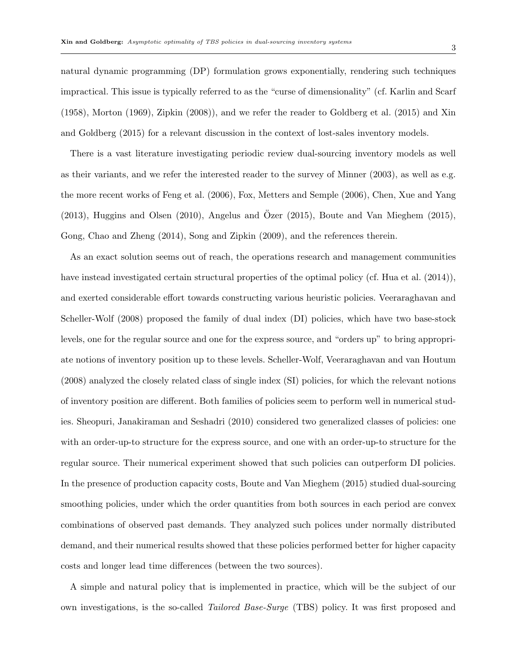natural dynamic programming (DP) formulation grows exponentially, rendering such techniques impractical. This issue is typically referred to as the "curse of dimensionality" (cf. Karlin and Scarf (1958), Morton (1969), Zipkin (2008)), and we refer the reader to Goldberg et al. (2015) and Xin and Goldberg (2015) for a relevant discussion in the context of lost-sales inventory models.

There is a vast literature investigating periodic review dual-sourcing inventory models as well as their variants, and we refer the interested reader to the survey of Minner (2003), as well as e.g. the more recent works of Feng et al. (2006), Fox, Metters and Semple (2006), Chen, Xue and Yang  $(2013)$ , Huggins and Olsen  $(2010)$ , Angelus and Ozer  $(2015)$ , Boute and Van Mieghem  $(2015)$ , Gong, Chao and Zheng (2014), Song and Zipkin (2009), and the references therein.

As an exact solution seems out of reach, the operations research and management communities have instead investigated certain structural properties of the optimal policy (cf. Hua et al. (2014)), and exerted considerable effort towards constructing various heuristic policies. Veeraraghavan and Scheller-Wolf (2008) proposed the family of dual index (DI) policies, which have two base-stock levels, one for the regular source and one for the express source, and "orders up" to bring appropriate notions of inventory position up to these levels. Scheller-Wolf, Veeraraghavan and van Houtum (2008) analyzed the closely related class of single index (SI) policies, for which the relevant notions of inventory position are different. Both families of policies seem to perform well in numerical studies. Sheopuri, Janakiraman and Seshadri (2010) considered two generalized classes of policies: one with an order-up-to structure for the express source, and one with an order-up-to structure for the regular source. Their numerical experiment showed that such policies can outperform DI policies. In the presence of production capacity costs, Boute and Van Mieghem (2015) studied dual-sourcing smoothing policies, under which the order quantities from both sources in each period are convex combinations of observed past demands. They analyzed such polices under normally distributed demand, and their numerical results showed that these policies performed better for higher capacity costs and longer lead time differences (between the two sources).

A simple and natural policy that is implemented in practice, which will be the subject of our own investigations, is the so-called Tailored Base-Surge (TBS) policy. It was first proposed and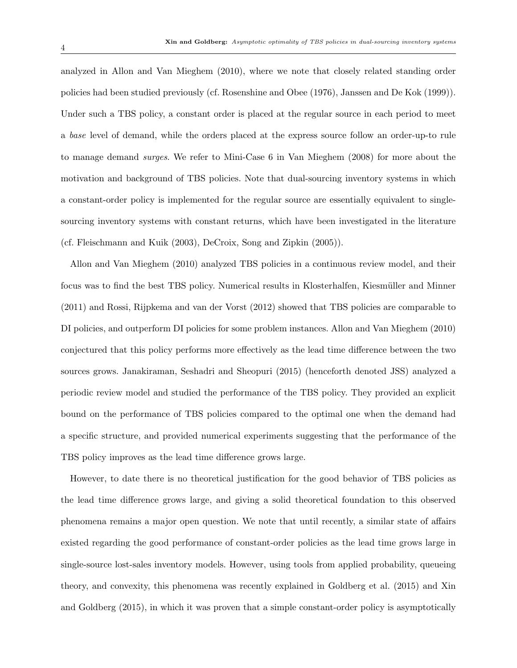analyzed in Allon and Van Mieghem (2010), where we note that closely related standing order policies had been studied previously (cf. Rosenshine and Obee (1976), Janssen and De Kok (1999)). Under such a TBS policy, a constant order is placed at the regular source in each period to meet a base level of demand, while the orders placed at the express source follow an order-up-to rule to manage demand surges. We refer to Mini-Case 6 in Van Mieghem (2008) for more about the motivation and background of TBS policies. Note that dual-sourcing inventory systems in which a constant-order policy is implemented for the regular source are essentially equivalent to singlesourcing inventory systems with constant returns, which have been investigated in the literature (cf. Fleischmann and Kuik (2003), DeCroix, Song and Zipkin (2005)).

Allon and Van Mieghem (2010) analyzed TBS policies in a continuous review model, and their focus was to find the best TBS policy. Numerical results in Klosterhalfen, Kiesmüller and Minner (2011) and Rossi, Rijpkema and van der Vorst (2012) showed that TBS policies are comparable to DI policies, and outperform DI policies for some problem instances. Allon and Van Mieghem (2010) conjectured that this policy performs more effectively as the lead time difference between the two sources grows. Janakiraman, Seshadri and Sheopuri (2015) (henceforth denoted JSS) analyzed a periodic review model and studied the performance of the TBS policy. They provided an explicit bound on the performance of TBS policies compared to the optimal one when the demand had a specific structure, and provided numerical experiments suggesting that the performance of the TBS policy improves as the lead time difference grows large.

However, to date there is no theoretical justification for the good behavior of TBS policies as the lead time difference grows large, and giving a solid theoretical foundation to this observed phenomena remains a major open question. We note that until recently, a similar state of affairs existed regarding the good performance of constant-order policies as the lead time grows large in single-source lost-sales inventory models. However, using tools from applied probability, queueing theory, and convexity, this phenomena was recently explained in Goldberg et al. (2015) and Xin and Goldberg (2015), in which it was proven that a simple constant-order policy is asymptotically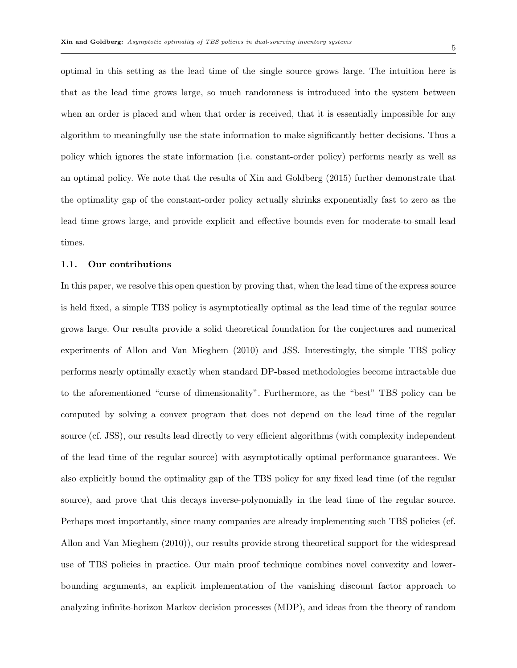optimal in this setting as the lead time of the single source grows large. The intuition here is that as the lead time grows large, so much randomness is introduced into the system between when an order is placed and when that order is received, that it is essentially impossible for any algorithm to meaningfully use the state information to make significantly better decisions. Thus a policy which ignores the state information (i.e. constant-order policy) performs nearly as well as an optimal policy. We note that the results of Xin and Goldberg (2015) further demonstrate that the optimality gap of the constant-order policy actually shrinks exponentially fast to zero as the lead time grows large, and provide explicit and effective bounds even for moderate-to-small lead times.

#### 1.1. Our contributions

In this paper, we resolve this open question by proving that, when the lead time of the express source is held fixed, a simple TBS policy is asymptotically optimal as the lead time of the regular source grows large. Our results provide a solid theoretical foundation for the conjectures and numerical experiments of Allon and Van Mieghem (2010) and JSS. Interestingly, the simple TBS policy performs nearly optimally exactly when standard DP-based methodologies become intractable due to the aforementioned "curse of dimensionality". Furthermore, as the "best" TBS policy can be computed by solving a convex program that does not depend on the lead time of the regular source (cf. JSS), our results lead directly to very efficient algorithms (with complexity independent of the lead time of the regular source) with asymptotically optimal performance guarantees. We also explicitly bound the optimality gap of the TBS policy for any fixed lead time (of the regular source), and prove that this decays inverse-polynomially in the lead time of the regular source. Perhaps most importantly, since many companies are already implementing such TBS policies (cf. Allon and Van Mieghem (2010)), our results provide strong theoretical support for the widespread use of TBS policies in practice. Our main proof technique combines novel convexity and lowerbounding arguments, an explicit implementation of the vanishing discount factor approach to analyzing infinite-horizon Markov decision processes (MDP), and ideas from the theory of random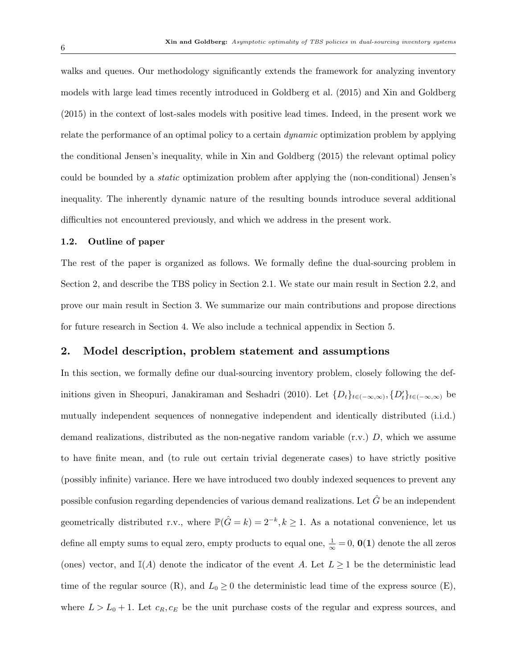walks and queues. Our methodology significantly extends the framework for analyzing inventory models with large lead times recently introduced in Goldberg et al. (2015) and Xin and Goldberg (2015) in the context of lost-sales models with positive lead times. Indeed, in the present work we relate the performance of an optimal policy to a certain *dynamic* optimization problem by applying the conditional Jensen's inequality, while in Xin and Goldberg (2015) the relevant optimal policy could be bounded by a static optimization problem after applying the (non-conditional) Jensen's inequality. The inherently dynamic nature of the resulting bounds introduce several additional difficulties not encountered previously, and which we address in the present work.

## 1.2. Outline of paper

The rest of the paper is organized as follows. We formally define the dual-sourcing problem in Section 2, and describe the TBS policy in Section 2.1. We state our main result in Section 2.2, and prove our main result in Section 3. We summarize our main contributions and propose directions for future research in Section 4. We also include a technical appendix in Section 5.

## 2. Model description, problem statement and assumptions

In this section, we formally define our dual-sourcing inventory problem, closely following the definitions given in Sheopuri, Janakiraman and Seshadri (2010). Let  $\{D_t\}_{t\in(-\infty,\infty)}$ ,  $\{D'_t\}_{t\in(-\infty,\infty)}$  be mutually independent sequences of nonnegative independent and identically distributed (i.i.d.) demand realizations, distributed as the non-negative random variable  $(r.v.)$  D, which we assume to have finite mean, and (to rule out certain trivial degenerate cases) to have strictly positive (possibly infinite) variance. Here we have introduced two doubly indexed sequences to prevent any possible confusion regarding dependencies of various demand realizations. Let  $\hat{G}$  be an independent geometrically distributed r.v., where  $\mathbb{P}(\hat{G} = k) = 2^{-k}, k \ge 1$ . As a notational convenience, let us define all empty sums to equal zero, empty products to equal one,  $\frac{1}{\infty} = 0$ ,  $\mathbf{0}(1)$  denote the all zeros (ones) vector, and  $\mathbb{I}(A)$  denote the indicator of the event A. Let  $L \geq 1$  be the deterministic lead time of the regular source  $(R)$ , and  $L_0 \geq 0$  the deterministic lead time of the express source  $(E)$ , where  $L > L_0 + 1$ . Let  $c_R, c_E$  be the unit purchase costs of the regular and express sources, and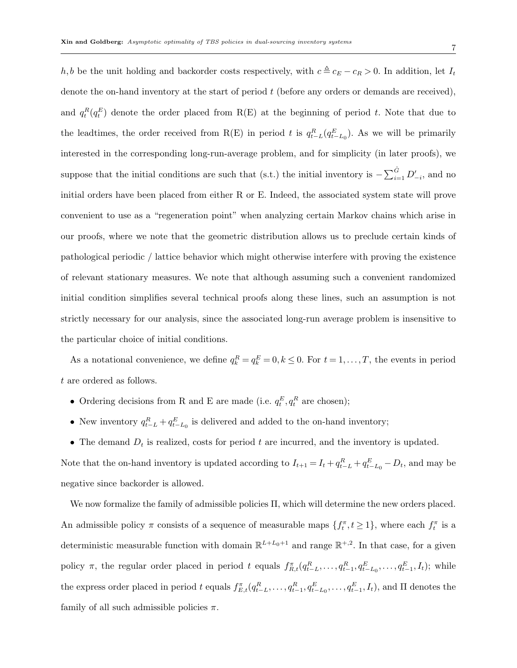h, b be the unit holding and backorder costs respectively, with  $c \triangleq c_E - c_R > 0$ . In addition, let  $I_t$ denote the on-hand inventory at the start of period  $t$  (before any orders or demands are received), and  $q_t^R(q_t^E)$  denote the order placed from R(E) at the beginning of period t. Note that due to the leadtimes, the order received from R(E) in period t is  $q_{t-L}^R(q_{t-L_0}^E)$ . As we will be primarily interested in the corresponding long-run-average problem, and for simplicity (in later proofs), we suppose that the initial conditions are such that (s.t.) the initial inventory is  $-\sum_{i=1}^{\hat{G}} D'_{-i}$ , and no initial orders have been placed from either R or E. Indeed, the associated system state will prove convenient to use as a "regeneration point" when analyzing certain Markov chains which arise in our proofs, where we note that the geometric distribution allows us to preclude certain kinds of pathological periodic / lattice behavior which might otherwise interfere with proving the existence of relevant stationary measures. We note that although assuming such a convenient randomized initial condition simplifies several technical proofs along these lines, such an assumption is not strictly necessary for our analysis, since the associated long-run average problem is insensitive to the particular choice of initial conditions.

As a notational convenience, we define  $q_k^R = q_k^E = 0, k \leq 0$ . For  $t = 1, ..., T$ , the events in period t are ordered as follows.

- Ordering decisions from R and E are made (i.e.  $q_t^E, q_t^R$  are chosen);
- New inventory  $q_{t-L}^R + q_{t-L_0}^E$  is delivered and added to the on-hand inventory;
- The demand  $D_t$  is realized, costs for period t are incurred, and the inventory is updated.

Note that the on-hand inventory is updated according to  $I_{t+1} = I_t + q_{t-L}^R + q_{t-L_0}^E - D_t$ , and may be negative since backorder is allowed.

We now formalize the family of admissible policies Π, which will determine the new orders placed. An admissible policy  $\pi$  consists of a sequence of measurable maps  $\{f_t^{\pi}, t \geq 1\}$ , where each  $f_t^{\pi}$  is a deterministic measurable function with domain  $\mathbb{R}^{L+L_0+1}$  and range  $\mathbb{R}^{+,2}$ . In that case, for a given policy  $\pi$ , the regular order placed in period t equals  $f_{R,t}^{\pi}(q_{t-L}^R,\ldots,q_{t-1}^R,q_{t-L_0}^E,\ldots,q_{t-1}^E,I_t)$ ; while the express order placed in period t equals  $f_{E,t}^{\pi}(q_{t-L}^R,\ldots,q_{t-1}^R,q_{t-L_0}^E,\ldots,q_{t-1}^E,I_t)$ , and  $\Pi$  denotes the family of all such admissible policies  $\pi$ .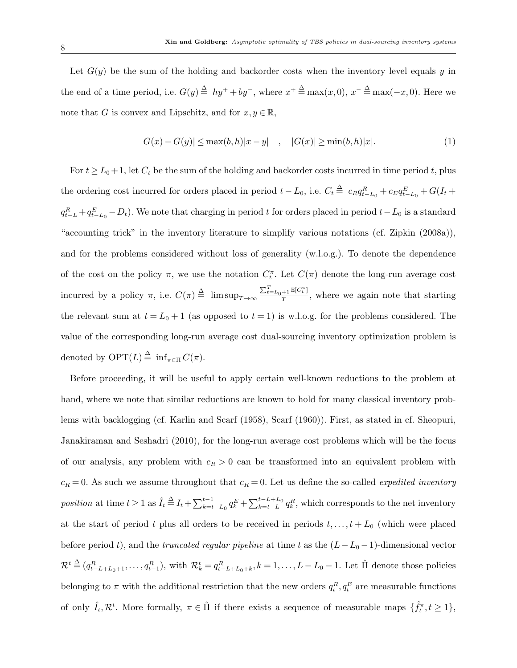Let  $G(y)$  be the sum of the holding and backorder costs when the inventory level equals y in the end of a time period, i.e.  $G(y) \triangleq hy^+ + by^-$ , where  $x^+ \triangleq \max(x, 0), x^- \triangleq \max(-x, 0)$ . Here we note that G is convex and Lipschitz, and for  $x, y \in \mathbb{R}$ .

$$
|G(x) - G(y)| \le \max(b, h)|x - y| \quad , \quad |G(x)| \ge \min(b, h)|x|.
$$
 (1)

For  $t \ge L_0 + 1$ , let  $C_t$  be the sum of the holding and backorder costs incurred in time period t, plus the ordering cost incurred for orders placed in period  $t - L_0$ , i.e.  $C_t \triangleq c_R q_{t-L_0}^R + c_E q_{t-L_0}^E + G(I_t +$  $q_{t-L}^R + q_{t-L_0}^E - D_t$ ). We note that charging in period t for orders placed in period  $t - L_0$  is a standard "accounting trick" in the inventory literature to simplify various notations (cf. Zipkin (2008a)), and for the problems considered without loss of generality (w.l.o.g.). To denote the dependence of the cost on the policy  $\pi$ , we use the notation  $C_t^{\pi}$ . Let  $C(\pi)$  denote the long-run average cost incurred by a policy  $\pi$ , i.e.  $C(\pi) \triangleq \limsup_{T \to \infty} \frac{\sum_{t=L_0+1}^{T} \mathbb{E}[C_t^{\pi}]}{T}$  $\frac{+1}{T}$ , where we again note that starting the relevant sum at  $t = L_0 + 1$  (as opposed to  $t = 1$ ) is w.l.o.g. for the problems considered. The value of the corresponding long-run average cost dual-sourcing inventory optimization problem is denoted by  $\text{OPT}(L) \stackrel{\Delta}{=} \inf_{\pi \in \Pi} C(\pi)$ .

Before proceeding, it will be useful to apply certain well-known reductions to the problem at hand, where we note that similar reductions are known to hold for many classical inventory problems with backlogging (cf. Karlin and Scarf (1958), Scarf (1960)). First, as stated in cf. Sheopuri, Janakiraman and Seshadri (2010), for the long-run average cost problems which will be the focus of our analysis, any problem with  $c_R > 0$  can be transformed into an equivalent problem with  $c_R = 0$ . As such we assume throughout that  $c_R = 0$ . Let us define the so-called *expedited inventory* position at time  $t \geq 1$  as  $\hat{I}_t \stackrel{\Delta}{=} I_t + \sum_{k=t-L_0}^{t-1} q_k^E + \sum_{k=t-L}^{t-L+L_0} q_k^R$ , which corresponds to the net inventory at the start of period t plus all orders to be received in periods  $t, \ldots, t + L_0$  (which were placed before period t), and the *truncated regular pipeline* at time t as the  $(L-L_0-1)$ -dimensional vector  $\mathcal{R}^t \stackrel{\Delta}{=} (q_{t-L+L_0+1}^R, \ldots, q_{t-1}^R)$ , with  $\mathcal{R}_k^t = q_{t-L+L_0+k}^R, k = 1, \ldots, L-L_0-1$ . Let  $\hat{\Pi}$  denote those policies belonging to  $\pi$  with the additional restriction that the new orders  $q_t^R, q_t^E$  are measurable functions of only  $\hat{I}_t, \mathcal{R}^t$ . More formally,  $\pi \in \hat{\Pi}$  if there exists a sequence of measurable maps  $\{\hat{f}_t^{\pi}, t \geq 1\}$ ,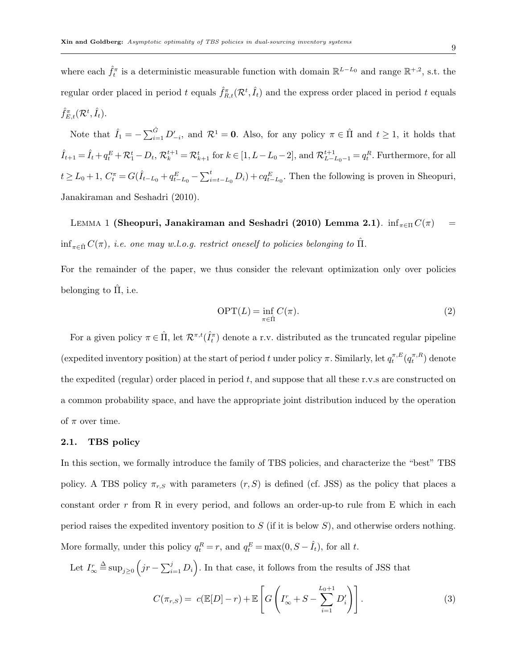where each  $\hat{f}_t^{\pi}$  is a deterministic measurable function with domain  $\mathbb{R}^{L-L_0}$  and range  $\mathbb{R}^{+,2}$ , s.t. the regular order placed in period t equals  $\hat{f}_{R,t}^{\pi}(\mathcal{R}^t, \hat{I}_t)$  and the express order placed in period t equals  $\hat{f}_{E,t}^{\pi}(\mathcal{R}^t,\hat{I}_t).$ 

Note that  $\hat{I}_1 = -\sum_{i=1}^{\hat{G}} D'_{-i}$ , and  $\mathcal{R}^1 = 0$ . Also, for any policy  $\pi \in \hat{\Pi}$  and  $t \geq 1$ , it holds that  $\hat{I}_{t+1} = \hat{I}_t + q_t^E + \mathcal{R}_1^t - D_t$ ,  $\mathcal{R}_k^{t+1} = \mathcal{R}_{k+1}^t$  for  $k \in [1, L-L_0-2]$ , and  $\mathcal{R}_{L-L_0-1}^{t+1} = q_t^R$ . Furthermore, for all  $t \geq L_0 + 1$ ,  $C_t^{\pi} = G(\hat{I}_{t-L_0} + q_{t-L_0}^E - \sum_{i=t-L_0}^t D_i) + cq_{t-L_0}^E$ . Then the following is proven in Sheopuri, Janakiraman and Seshadri (2010).

LEMMA 1 (Sheopuri, Janakiraman and Seshadri (2010) Lemma 2.1).  $\inf_{\pi \in \Pi} C(\pi) =$  $\inf_{\pi \in \hat{\Pi}} C(\pi)$ , i.e. one may w.l.o.g. restrict oneself to policies belonging to  $\hat{\Pi}$ .

For the remainder of the paper, we thus consider the relevant optimization only over policies belonging to  $\hat{\Pi}$ , i.e.

$$
\text{OPT}(L) = \inf_{\pi \in \hat{\Pi}} C(\pi). \tag{2}
$$

For a given policy  $\pi \in \hat{\Pi}$ , let  $\mathcal{R}^{\pi,t}(\hat{I}_t^{\pi})$  denote a r.v. distributed as the truncated regular pipeline (expedited inventory position) at the start of period t under policy  $\pi$ . Similarly, let  $q_t^{\pi,E}(q_t^{\pi,R})$  denote the expedited (regular) order placed in period  $t$ , and suppose that all these r.v.s are constructed on a common probability space, and have the appropriate joint distribution induced by the operation of  $\pi$  over time.

#### 2.1. TBS policy

In this section, we formally introduce the family of TBS policies, and characterize the "best" TBS policy. A TBS policy  $\pi_{r,S}$  with parameters  $(r, S)$  is defined (cf. JSS) as the policy that places a constant order  $r$  from R in every period, and follows an order-up-to rule from E which in each period raises the expedited inventory position to  $S$  (if it is below  $S$ ), and otherwise orders nothing. More formally, under this policy  $q_t^R = r$ , and  $q_t^E = \max(0, S - \hat{I}_t)$ , for all t.

Let  $I^r_{\infty}$  $\triangleq \sup_{j\geq 0} (jr - \sum_{i=1}^j D_i)$ . In that case, it follows from the results of JSS that

$$
C(\pi_{r,S}) = c(\mathbb{E}[D]-r) + \mathbb{E}\left[G\left(I_{\infty}^r + S - \sum_{i=1}^{L_0+1} D_i'\right)\right].
$$
\n(3)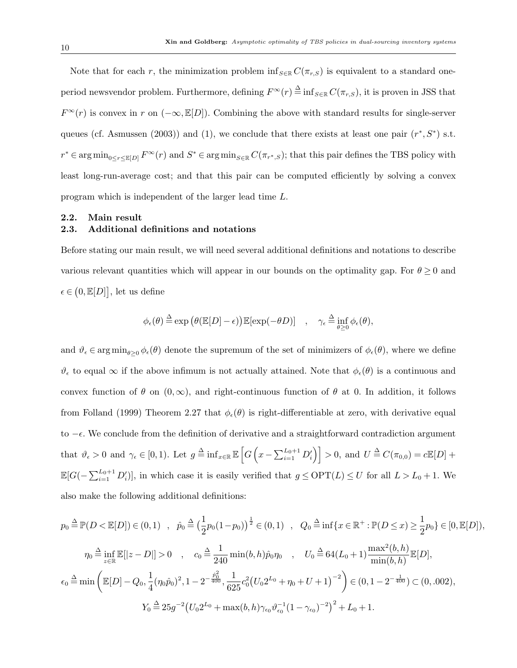Note that for each r, the minimization problem inf  $_{S\in\mathbb{R}}C(\pi_{r,S})$  is equivalent to a standard oneperiod newsvendor problem. Furthermore, defining  $F^{\infty}(r) \stackrel{\Delta}{=} \inf_{S \in \mathbb{R}} C(\pi_{r,S})$ , it is proven in JSS that  $F^{\infty}(r)$  is convex in r on  $(-\infty, \mathbb{E}[D])$ . Combining the above with standard results for single-server queues (cf. Asmussen (2003)) and (1), we conclude that there exists at least one pair  $(r^*, S^*)$  s.t.  $r^* \in \arg \min_{0 \le r \le E[D]} F^{\infty}(r)$  and  $S^* \in \arg \min_{S \in \mathbb{R}} C(\pi_{r^*,S})$ ; that this pair defines the TBS policy with least long-run-average cost; and that this pair can be computed efficiently by solving a convex program which is independent of the larger lead time L.

## 2.2. Main result

## 2.3. Additional definitions and notations

Before stating our main result, we will need several additional definitions and notations to describe various relevant quantities which will appear in our bounds on the optimality gap. For  $\theta \ge 0$  and  $\epsilon \in (0, \mathbb{E}[D]],$  let us define

$$
\phi_{\epsilon}(\theta) \stackrel{\Delta}{=} \exp \big(\theta (\mathbb{E}[D] - \epsilon) \big) \mathbb{E}[\exp(-\theta D)] \quad , \quad \gamma_{\epsilon} \stackrel{\Delta}{=} \inf_{\theta \ge 0} \phi_{\epsilon}(\theta),
$$

and  $\vartheta_{\epsilon} \in \arg\min_{\theta>0} \phi_{\epsilon}(\theta)$  denote the supremum of the set of minimizers of  $\phi_{\epsilon}(\theta)$ , where we define  $\vartheta_{\epsilon}$  to equal  $\infty$  if the above infimum is not actually attained. Note that  $\phi_{\epsilon}(\theta)$  is a continuous and convex function of  $\theta$  on  $(0,\infty)$ , and right-continuous function of  $\theta$  at 0. In addition, it follows from Folland (1999) Theorem 2.27 that  $\phi_{\epsilon}(\theta)$  is right-differentiable at zero, with derivative equal to  $-\epsilon$ . We conclude from the definition of derivative and a straightforward contradiction argument that  $\vartheta_{\epsilon} > 0$  and  $\gamma_{\epsilon} \in [0, 1)$ . Let  $g \triangleq \inf_{x \in \mathbb{R}} \mathbb{E}\left[G\left(x - \sum_{i=1}^{L_0+1} D_i'\right)\right] > 0$ , and  $U \triangleq C(\pi_{0,0}) = c \mathbb{E}[D] +$  $\mathbb{E}[G(-\sum_{i=1}^{L_0+1} D_i')]$ , in which case it is easily verified that  $g \le \text{OPT}(L) \le U$  for all  $L > L_0 + 1$ . We also make the following additional definitions:

$$
p_0 \stackrel{\Delta}{=} \mathbb{P}(D < \mathbb{E}[D]) \in (0,1) \quad , \quad \hat{p}_0 \stackrel{\Delta}{=} \left(\frac{1}{2}p_0(1-p_0)\right)^{\frac{1}{2}} \in (0,1) \quad , \quad Q_0 \stackrel{\Delta}{=} \inf\{x \in \mathbb{R}^+ : \mathbb{P}(D \le x) \ge \frac{1}{2}p_0\} \in [0,\mathbb{E}[D]),
$$
\n
$$
\eta_0 \stackrel{\Delta}{=} \inf_{z \in \mathbb{R}} \mathbb{E}[|z - D|] > 0 \quad , \quad c_0 \stackrel{\Delta}{=} \frac{1}{240} \min(b,h)\hat{p}_0 \eta_0 \quad , \quad U_0 \stackrel{\Delta}{=} 64(L_0 + 1) \frac{\max^2(b,h)}{\min(b,h)} \mathbb{E}[D],
$$
\n
$$
\epsilon_0 \stackrel{\Delta}{=} \min\left(\mathbb{E}[D] - Q_0, \frac{1}{4}(\eta_0 \hat{p}_0)^2, 1 - 2^{-\frac{\hat{p}_0^2}{400}}, \frac{1}{625}c_0^2(U_0 2^{L_0} + \eta_0 + U + 1)^{-2}\right) \in (0, 1 - 2^{-\frac{1}{400}}) \subset (0, .002),
$$
\n
$$
Y_0 \stackrel{\Delta}{=} 25g^{-2}\left(U_0 2^{L_0} + \max(b,h)\gamma_{\epsilon_0}\vartheta_{\epsilon_0}^{-1}(1 - \gamma_{\epsilon_0})^{-2}\right)^2 + L_0 + 1.
$$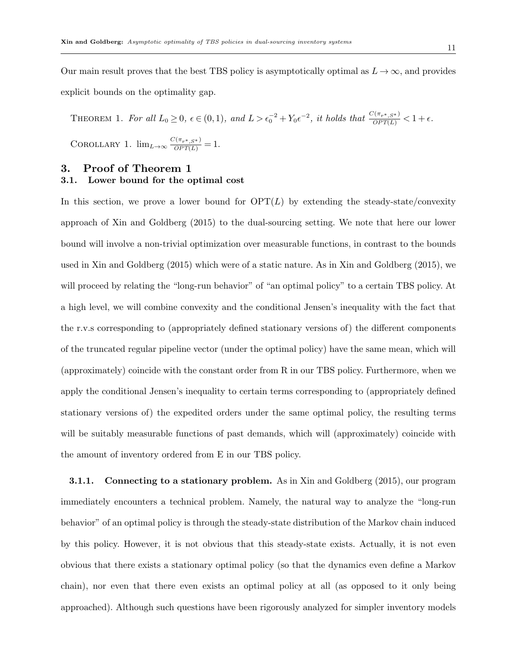Our main result proves that the best TBS policy is asymptotically optimal as  $L \to \infty$ , and provides explicit bounds on the optimality gap.

THEOREM 1. For all  $L_0 \ge 0$ ,  $\epsilon \in (0,1)$ , and  $L > \epsilon_0^{-2} + Y_0 \epsilon^{-2}$ , it holds that  $\frac{C(\pi_{r^*,S^*})}{OPT(L)} < 1 + \epsilon$ . COROLLARY 1.  $\lim_{L\to\infty} \frac{C(\pi_{r^*,S^*})}{OPT(L)} = 1.$ 

# 3. Proof of Theorem 1

## 3.1. Lower bound for the optimal cost

In this section, we prove a lower bound for  $\text{OPT}(L)$  by extending the steady-state/convexity approach of Xin and Goldberg (2015) to the dual-sourcing setting. We note that here our lower bound will involve a non-trivial optimization over measurable functions, in contrast to the bounds used in Xin and Goldberg (2015) which were of a static nature. As in Xin and Goldberg (2015), we will proceed by relating the "long-run behavior" of "an optimal policy" to a certain TBS policy. At a high level, we will combine convexity and the conditional Jensen's inequality with the fact that the r.v.s corresponding to (appropriately defined stationary versions of) the different components of the truncated regular pipeline vector (under the optimal policy) have the same mean, which will (approximately) coincide with the constant order from R in our TBS policy. Furthermore, when we apply the conditional Jensen's inequality to certain terms corresponding to (appropriately defined stationary versions of) the expedited orders under the same optimal policy, the resulting terms will be suitably measurable functions of past demands, which will (approximately) coincide with the amount of inventory ordered from E in our TBS policy.

**3.1.1.** Connecting to a stationary problem. As in Xin and Goldberg (2015), our program immediately encounters a technical problem. Namely, the natural way to analyze the "long-run behavior" of an optimal policy is through the steady-state distribution of the Markov chain induced by this policy. However, it is not obvious that this steady-state exists. Actually, it is not even obvious that there exists a stationary optimal policy (so that the dynamics even define a Markov chain), nor even that there even exists an optimal policy at all (as opposed to it only being approached). Although such questions have been rigorously analyzed for simpler inventory models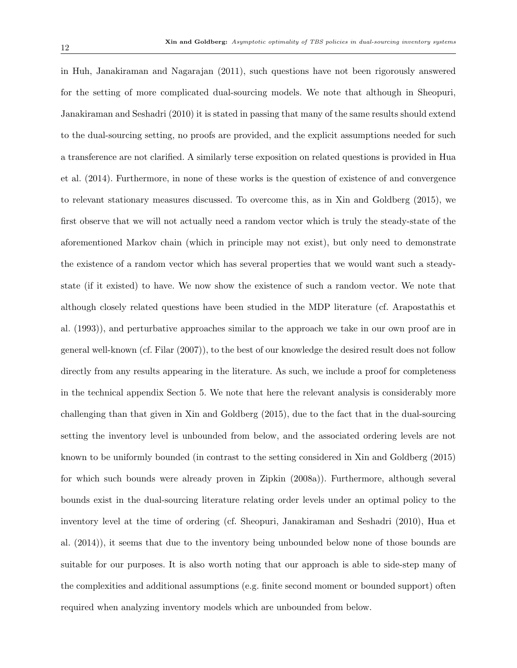in Huh, Janakiraman and Nagarajan (2011), such questions have not been rigorously answered for the setting of more complicated dual-sourcing models. We note that although in Sheopuri, Janakiraman and Seshadri (2010) it is stated in passing that many of the same results should extend to the dual-sourcing setting, no proofs are provided, and the explicit assumptions needed for such a transference are not clarified. A similarly terse exposition on related questions is provided in Hua et al. (2014). Furthermore, in none of these works is the question of existence of and convergence to relevant stationary measures discussed. To overcome this, as in Xin and Goldberg (2015), we first observe that we will not actually need a random vector which is truly the steady-state of the aforementioned Markov chain (which in principle may not exist), but only need to demonstrate the existence of a random vector which has several properties that we would want such a steadystate (if it existed) to have. We now show the existence of such a random vector. We note that although closely related questions have been studied in the MDP literature (cf. Arapostathis et al. (1993)), and perturbative approaches similar to the approach we take in our own proof are in general well-known (cf. Filar (2007)), to the best of our knowledge the desired result does not follow directly from any results appearing in the literature. As such, we include a proof for completeness in the technical appendix Section 5. We note that here the relevant analysis is considerably more challenging than that given in Xin and Goldberg (2015), due to the fact that in the dual-sourcing setting the inventory level is unbounded from below, and the associated ordering levels are not known to be uniformly bounded (in contrast to the setting considered in Xin and Goldberg (2015) for which such bounds were already proven in Zipkin (2008a)). Furthermore, although several bounds exist in the dual-sourcing literature relating order levels under an optimal policy to the inventory level at the time of ordering (cf. Sheopuri, Janakiraman and Seshadri (2010), Hua et al. (2014)), it seems that due to the inventory being unbounded below none of those bounds are suitable for our purposes. It is also worth noting that our approach is able to side-step many of the complexities and additional assumptions (e.g. finite second moment or bounded support) often required when analyzing inventory models which are unbounded from below.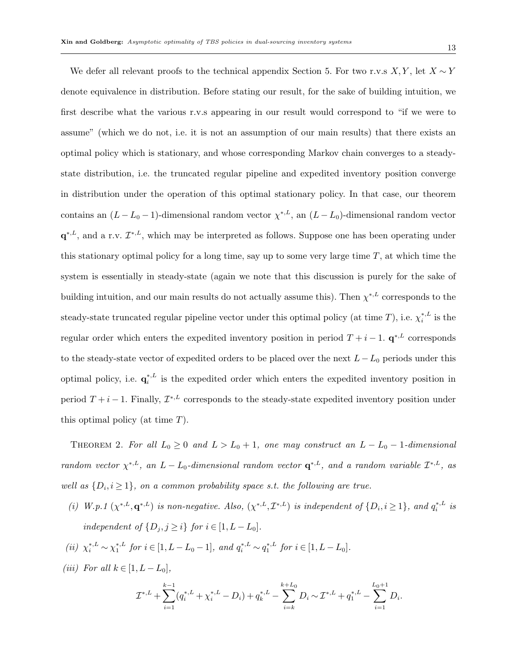13

We defer all relevant proofs to the technical appendix Section 5. For two r.v.s  $X, Y$ , let  $X \sim Y$ denote equivalence in distribution. Before stating our result, for the sake of building intuition, we first describe what the various r.v.s appearing in our result would correspond to "if we were to assume" (which we do not, i.e. it is not an assumption of our main results) that there exists an optimal policy which is stationary, and whose corresponding Markov chain converges to a steadystate distribution, i.e. the truncated regular pipeline and expedited inventory position converge in distribution under the operation of this optimal stationary policy. In that case, our theorem contains an  $(L - L_0 - 1)$ -dimensional random vector  $\chi^{*,L}$ , an  $(L - L_0)$ -dimensional random vector  $\mathbf{q}^{*,L}$ , and a r.v.  $\mathcal{I}^{*,L}$ , which may be interpreted as follows. Suppose one has been operating under this stationary optimal policy for a long time, say up to some very large time  $T$ , at which time the system is essentially in steady-state (again we note that this discussion is purely for the sake of building intuition, and our main results do not actually assume this). Then  $\chi^{*,L}$  corresponds to the steady-state truncated regular pipeline vector under this optimal policy (at time T), i.e.  $\chi_i^{*,L}$  is the regular order which enters the expedited inventory position in period  $T + i - 1$ .  $q^{*,L}$  corresponds to the steady-state vector of expedited orders to be placed over the next  $L-L_0$  periods under this optimal policy, i.e.  $\mathbf{q}_i^{*,L}$  is the expedited order which enters the expedited inventory position in period  $T+i-1$ . Finally,  $\mathcal{I}^{*,L}$  corresponds to the steady-state expedited inventory position under this optimal policy (at time  $T$ ).

THEOREM 2. For all  $L_0 \geq 0$  and  $L > L_0 + 1$ , one may construct an  $L - L_0 - 1$ -dimensional random vector  $\chi^{*,L}$ , an  $L - L_0$ -dimensional random vector  $\mathbf{q}^{*,L}$ , and a random variable  $\mathcal{I}^{*,L}$ , as well as  $\{D_i, i \geq 1\}$ , on a common probability space s.t. the following are true.

(i) W.p.1  $(\chi^{*,L}, \mathbf{q}^{*,L})$  is non-negative. Also,  $(\chi^{*,L}, \mathcal{I}^{*,L})$  is independent of  $\{D_i, i \geq 1\}$ , and  $q_i^{*,L}$  is independent of  $\{D_j, j \geq i\}$  for  $i \in [1, L - L_0]$ .

(*ii*) 
$$
\chi_i^{*,L} \sim \chi_1^{*,L}
$$
 for  $i \in [1, L - L_0 - 1]$ , and  $q_i^{*,L} \sim q_1^{*,L}$  for  $i \in [1, L - L_0]$ .

(iii) For all  $k \in [1, L - L_0]$ ,

$$
\mathcal{I}^{*,L} + \sum_{i=1}^{k-1} (q_i^{*,L} + \chi_i^{*,L} - D_i) + q_k^{*,L} - \sum_{i=k}^{k+L_0} D_i \sim \mathcal{I}^{*,L} + q_1^{*,L} - \sum_{i=1}^{L_0+1} D_i.
$$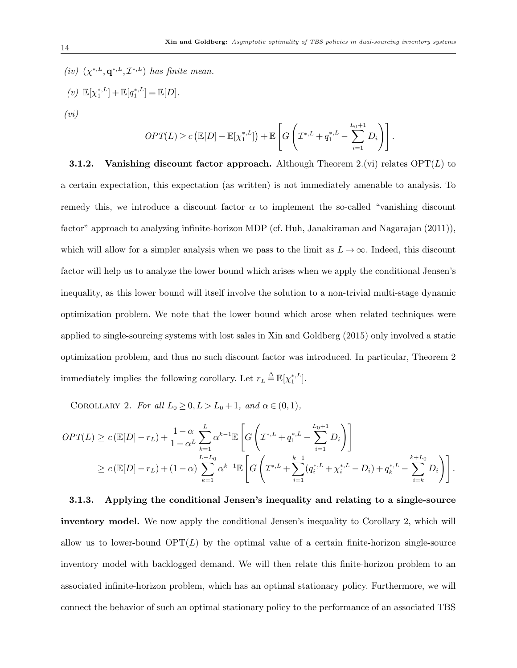(iv)  $(\chi^{*,L}, \mathbf{q}^{*,L}, \mathcal{I}^{*,L})$  has finite mean. (v)  $\mathbb{E}[\chi_1^{*,L}] + \mathbb{E}[q_1^{*,L}] = \mathbb{E}[D].$  $(vi)$ 

$$
OPT(L) \ge c \left( \mathbb{E}[D] - \mathbb{E}[\chi_1^{*,L}] \right) + \mathbb{E} \left[ G \left( \mathcal{I}^{*,L} + q_1^{*,L} - \sum_{i=1}^{L_0+1} D_i \right) \right].
$$

**3.1.2.** Vanishing discount factor approach. Although Theorem 2.(vi) relates  $\text{OPT}(L)$  to a certain expectation, this expectation (as written) is not immediately amenable to analysis. To remedy this, we introduce a discount factor  $\alpha$  to implement the so-called "vanishing discount factor" approach to analyzing infinite-horizon MDP (cf. Huh, Janakiraman and Nagarajan (2011)), which will allow for a simpler analysis when we pass to the limit as  $L \to \infty$ . Indeed, this discount factor will help us to analyze the lower bound which arises when we apply the conditional Jensen's inequality, as this lower bound will itself involve the solution to a non-trivial multi-stage dynamic optimization problem. We note that the lower bound which arose when related techniques were applied to single-sourcing systems with lost sales in Xin and Goldberg (2015) only involved a static optimization problem, and thus no such discount factor was introduced. In particular, Theorem 2 immediately implies the following corollary. Let  $r_L \stackrel{\Delta}{=} \mathbb{E}[\chi_1^{*,L}].$ 

COROLLARY 2. For all  $L_0 \geq 0, L > L_0 + 1$ , and  $\alpha \in (0, 1)$ ,

$$
OPT(L) \ge c (\mathbb{E}[D] - r_L) + \frac{1 - \alpha L}{1 - \alpha L} \sum_{k=1}^{L} \alpha^{k-1} \mathbb{E}\left[G\left(\mathcal{I}^{*,L} + q_1^{*,L} - \sum_{i=1}^{L_0+1} D_i\right)\right]
$$
  
 
$$
\ge c (\mathbb{E}[D] - r_L) + (1 - \alpha) \sum_{k=1}^{L-L_0} \alpha^{k-1} \mathbb{E}\left[G\left(\mathcal{I}^{*,L} + \sum_{i=1}^{k-1} (q_i^{*,L} + \chi_i^{*,L} - D_i) + q_k^{*,L} - \sum_{i=k}^{k+L_0} D_i\right)\right].
$$

3.1.3. Applying the conditional Jensen's inequality and relating to a single-source inventory model. We now apply the conditional Jensen's inequality to Corollary 2, which will allow us to lower-bound  $\text{OPT}(L)$  by the optimal value of a certain finite-horizon single-source inventory model with backlogged demand. We will then relate this finite-horizon problem to an associated infinite-horizon problem, which has an optimal stationary policy. Furthermore, we will connect the behavior of such an optimal stationary policy to the performance of an associated TBS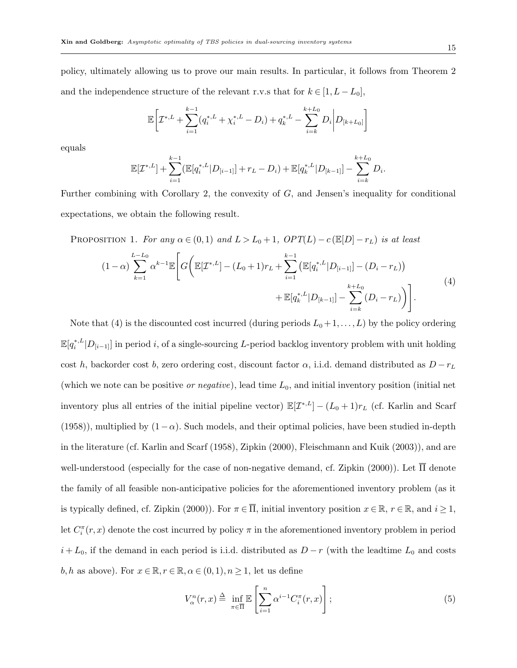policy, ultimately allowing us to prove our main results. In particular, it follows from Theorem 2 and the independence structure of the relevant r.v.s that for  $k \in [1, L - L_0]$ ,

$$
\mathbb{E}\bigg[\mathcal{I}^{*,L} + \sum_{i=1}^{k-1} (q_i^{*,L} + \chi_i^{*,L} - D_i) + q_k^{*,L} - \sum_{i=k}^{k+L_0} D_i \bigg| D_{[k+L_0]} \bigg]
$$

equals

$$
\mathbb{E}[\mathcal{I}^{*,L}] + \sum_{i=1}^{k-1} (\mathbb{E}[q_i^{*,L} | D_{[i-1]}] + r_L - D_i) + \mathbb{E}[q_k^{*,L} | D_{[k-1]}] - \sum_{i=k}^{k+L_0} D_i
$$

Further combining with Corollary 2, the convexity of  $G$ , and Jensen's inequality for conditional expectations, we obtain the following result.

PROPOSITION 1. For any  $\alpha \in (0,1)$  and  $L > L_0 + 1$ ,  $OPT(L) - c (E[D] - r_L)$  is at least

$$
(1 - \alpha) \sum_{k=1}^{L-L_0} \alpha^{k-1} \mathbb{E} \bigg[ G \bigg( \mathbb{E} [\mathcal{I}^{*,L}] - (L_0 + 1) r_L + \sum_{i=1}^{k-1} \left( \mathbb{E} [q_i^{*,L} | D_{[i-1]}] - (D_i - r_L) \right) + \mathbb{E} [q_k^{*,L} | D_{[k-1]}] - \sum_{i=k}^{k+L_0} (D_i - r_L) \bigg) \bigg]. \tag{4}
$$

Note that (4) is the discounted cost incurred (during periods  $L_0 + 1, \ldots, L$ ) by the policy ordering  $\mathbb{E}[q_i^{*,L}|D_{[i-1]}]$  in period i, of a single-sourcing L-period backlog inventory problem with unit holding cost h, backorder cost b, zero ordering cost, discount factor  $\alpha$ , i.i.d. demand distributed as  $D - r<sub>L</sub>$ (which we note can be positive *or negative*), lead time  $L_0$ , and initial inventory position (initial net inventory plus all entries of the initial pipeline vector)  $\mathbb{E}[\mathcal{I}^{*,L}] - (L_0 + 1)r_L$  (cf. Karlin and Scarf (1958)), multiplied by  $(1-\alpha)$ . Such models, and their optimal policies, have been studied in-depth in the literature (cf. Karlin and Scarf (1958), Zipkin (2000), Fleischmann and Kuik (2003)), and are well-understood (especially for the case of non-negative demand, cf. Zipkin (2000)). Let  $\overline{\Pi}$  denote the family of all feasible non-anticipative policies for the aforementioned inventory problem (as it is typically defined, cf. Zipkin (2000)). For  $\pi \in \overline{\Pi}$ , initial inventory position  $x \in \mathbb{R}$ ,  $r \in \mathbb{R}$ , and  $i \ge 1$ , Let  $C_i^{\pi}(r, x)$  denote the cost incurred by policy  $\pi$  in the aforementioned inventory problem in period  $i + L_0$ , if the demand in each period is i.i.d. distributed as  $D - r$  (with the leadtime  $L_0$  and costs b, h as above). For  $x \in \mathbb{R}, r \in \mathbb{R}, \alpha \in (0,1), n \geq 1$ , let us define

$$
V_{\alpha}^{n}(r,x) \triangleq \inf_{\pi \in \overline{\Pi}} \mathbb{E}\left[\sum_{i=1}^{n} \alpha^{i-1} C_{i}^{\pi}(r,x)\right];
$$
\n(5)

.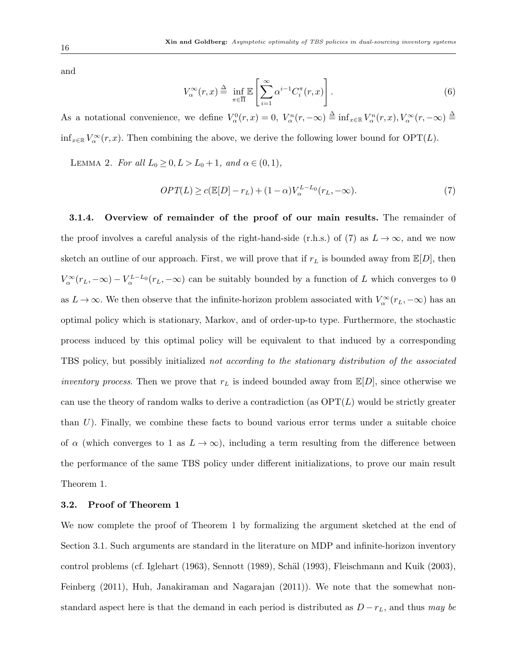and

$$
V_{\alpha}^{\infty}(r,x) \stackrel{\Delta}{=} \inf_{\pi \in \overline{\Pi}} \mathbb{E}\left[\sum_{i=1}^{\infty} \alpha^{i-1} C_{i}^{\pi}(r,x)\right].
$$
 (6)

As a notational convenience, we define  $V^0_\alpha(r,x) = 0$ ,  $V^n_\alpha(r,-\infty) \triangleq \inf_{x \in \mathbb{R}} V^n_\alpha(r,x)$ ,  $V^\infty_\alpha(r,-\infty) \triangleq$  $\inf_{x \in \mathbb{R}} V_\alpha^\infty(r, x)$ . Then combining the above, we derive the following lower bound for  $\text{OPT}(L)$ .

LEMMA 2. For all  $L_0 \ge 0, L > L_0 + 1$ , and  $\alpha \in (0, 1)$ ,

$$
OPT(L) \ge c(\mathbb{E}[D] - r_L) + (1 - \alpha)V_{\alpha}^{L-L_0}(r_L, -\infty). \tag{7}
$$

3.1.4. Overview of remainder of the proof of our main results. The remainder of the proof involves a careful analysis of the right-hand-side (r.h.s.) of (7) as  $L \to \infty$ , and we now sketch an outline of our approach. First, we will prove that if  $r<sub>L</sub>$  is bounded away from  $\mathbb{E}[D]$ , then  $V_\alpha^{\infty}(r_L,-\infty) - V_\alpha^{L-L_0}(r_L,-\infty)$  can be suitably bounded by a function of L which converges to 0 as  $L \to \infty$ . We then observe that the infinite-horizon problem associated with  $V_\alpha^\infty(r_L, -\infty)$  has an optimal policy which is stationary, Markov, and of order-up-to type. Furthermore, the stochastic process induced by this optimal policy will be equivalent to that induced by a corresponding TBS policy, but possibly initialized not according to the stationary distribution of the associated *inventory process.* Then we prove that  $r<sub>L</sub>$  is indeed bounded away from  $\mathbb{E}[D]$ , since otherwise we can use the theory of random walks to derive a contradiction (as  $\text{OPT}(L)$  would be strictly greater than  $U$ ). Finally, we combine these facts to bound various error terms under a suitable choice of  $\alpha$  (which converges to 1 as  $L \to \infty$ ), including a term resulting from the difference between the performance of the same TBS policy under different initializations, to prove our main result Theorem 1.

#### 3.2. Proof of Theorem 1

We now complete the proof of Theorem 1 by formalizing the argument sketched at the end of Section 3.1. Such arguments are standard in the literature on MDP and infinite-horizon inventory control problems (cf. Iglehart (1963), Sennott (1989), Schäl (1993), Fleischmann and Kuik (2003), Feinberg (2011), Huh, Janakiraman and Nagarajan (2011)). We note that the somewhat nonstandard aspect here is that the demand in each period is distributed as  $D - r<sub>L</sub>$ , and thus may be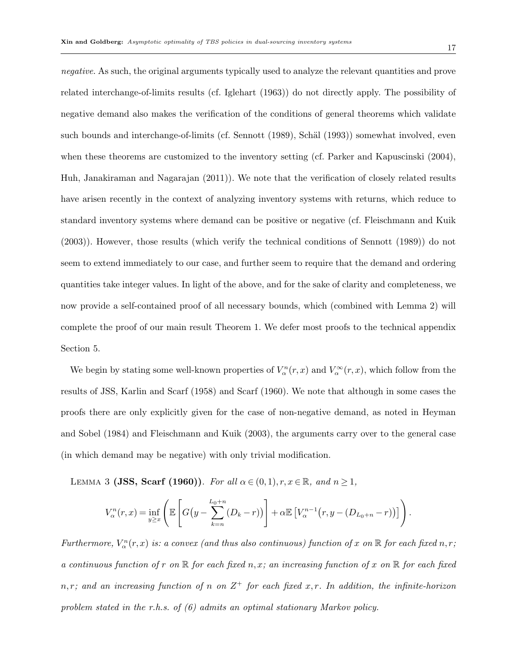negative. As such, the original arguments typically used to analyze the relevant quantities and prove related interchange-of-limits results (cf. Iglehart (1963)) do not directly apply. The possibility of negative demand also makes the verification of the conditions of general theorems which validate such bounds and interchange-of-limits (cf. Sennott (1989), Schäl (1993)) somewhat involved, even when these theorems are customized to the inventory setting (cf. Parker and Kapuscinski (2004), Huh, Janakiraman and Nagarajan (2011)). We note that the verification of closely related results have arisen recently in the context of analyzing inventory systems with returns, which reduce to standard inventory systems where demand can be positive or negative (cf. Fleischmann and Kuik (2003)). However, those results (which verify the technical conditions of Sennott (1989)) do not seem to extend immediately to our case, and further seem to require that the demand and ordering quantities take integer values. In light of the above, and for the sake of clarity and completeness, we now provide a self-contained proof of all necessary bounds, which (combined with Lemma 2) will complete the proof of our main result Theorem 1. We defer most proofs to the technical appendix Section 5.

We begin by stating some well-known properties of  $V_\alpha^n(r, x)$  and  $V_\alpha^\infty(r, x)$ , which follow from the results of JSS, Karlin and Scarf (1958) and Scarf (1960). We note that although in some cases the proofs there are only explicitly given for the case of non-negative demand, as noted in Heyman and Sobel (1984) and Fleischmann and Kuik (2003), the arguments carry over to the general case (in which demand may be negative) with only trivial modification.

LEMMA 3 (JSS, Scarf (1960)). For all  $\alpha \in (0,1), r, x \in \mathbb{R}$ , and  $n \ge 1$ ,

$$
V_{\alpha}^{n}(r,x) = \inf_{y \geq x} \left( \mathbb{E}\left[ G\left(y - \sum_{k=n}^{L_{0}+n} (D_{k}-r)\right) \right] + \alpha \mathbb{E}\left[ V_{\alpha}^{n-1}\left(r, y - (D_{L_{0}+n}-r)\right) \right] \right).
$$

Furthermore,  $V_\alpha^n(r, x)$  is: a convex (and thus also continuous) function of x on  $\mathbb R$  for each fixed n, r; a continuous function of r on  $\mathbb R$  for each fixed n, x; an increasing function of x on  $\mathbb R$  for each fixed  $n, r$ ; and an increasing function of n on  $Z^+$  for each fixed x, r. In addition, the infinite-horizon problem stated in the r.h.s. of (6) admits an optimal stationary Markov policy.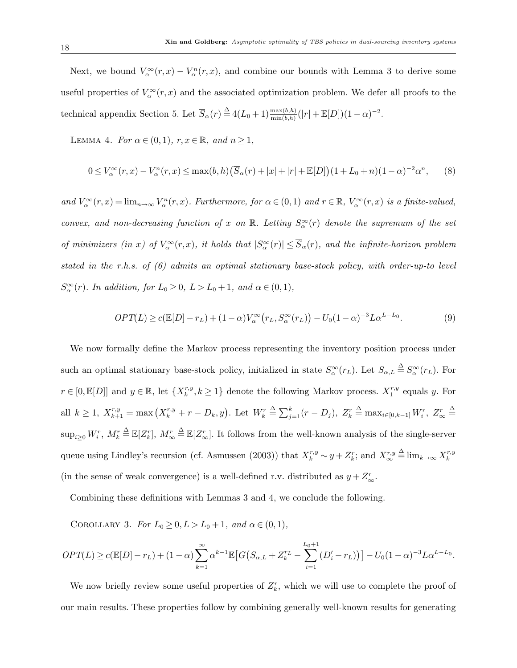Next, we bound  $V_\alpha^\infty(r,x) - V_\alpha^n(r,x)$ , and combine our bounds with Lemma 3 to derive some useful properties of  $V_\alpha^\infty(r,x)$  and the associated optimization problem. We defer all proofs to the technical appendix Section 5. Let  $\overline{S}_{\alpha}(r) \stackrel{\Delta}{=} 4(L_0+1) \frac{\max(b,h)}{\min(b,h)} (|r| + \mathbb{E}[D])(1-\alpha)^{-2}$ .

LEMMA 4. For  $\alpha \in (0,1)$ ,  $r, x \in \mathbb{R}$ , and  $n \ge 1$ ,

$$
0 \le V_{\alpha}^{\infty}(r,x) - V_{\alpha}^{n}(r,x) \le \max(b,h) \left(\overline{S}_{\alpha}(r) + |x| + |r| + \mathbb{E}[D]\right) (1 + L_0 + n)(1 - \alpha)^{-2} \alpha^{n}, \qquad (8)
$$

and  $V_\alpha^\infty(r,x) = \lim_{n \to \infty} V_\alpha^n(r,x)$ . Furthermore, for  $\alpha \in (0,1)$  and  $r \in \mathbb{R}$ ,  $V_\alpha^\infty(r,x)$  is a finite-valued, convex, and non-decreasing function of x on R. Letting  $S_{\alpha}^{\infty}(r)$  denote the supremum of the set of minimizers (in x) of  $V_\alpha^\infty(r,x)$ , it holds that  $|S_\alpha^\infty(r)| \leq \overline{S}_\alpha(r)$ , and the infinite-horizon problem stated in the r.h.s. of (6) admits an optimal stationary base-stock policy, with order-up-to level  $S_{\alpha}^{\infty}(r)$ . In addition, for  $L_0 \ge 0$ ,  $L > L_0 + 1$ , and  $\alpha \in (0, 1)$ ,

$$
OPT(L) \ge c(\mathbb{E}[D] - r_L) + (1 - \alpha)V_\alpha^\infty(r_L, S_\alpha^\infty(r_L)) - U_0(1 - \alpha)^{-3}L\alpha^{L - L_0}.
$$
\n(9)

We now formally define the Markov process representing the inventory position process under such an optimal stationary base-stock policy, initialized in state  $S_{\alpha}^{\infty}(r_L)$ . Let  $S_{\alpha,L} \triangleq S_{\alpha}^{\infty}(r_L)$ . For  $r \in [0, \mathbb{E}[D]]$  and  $y \in \mathbb{R}$ , let  $\{X_k^{r,y}, k \ge 1\}$  denote the following Markov process.  $X_1^{r,y}$  equals y. For all  $k \geq 1$ ,  $X_{k+1}^{r,y} = \max(X_k^{r,y} + r - D_k, y)$ . Let  $W_k^r \stackrel{\Delta}{=} \sum_{j=1}^k (r - D_j)$ ,  $Z_k^r$  $\triangleq \max_{i\in[0,k-1]} W_i^r, Z_\infty^r \triangleq$  $\sup_{i\geq 0}W_i^r$ ,  $M_k^r \triangleq \mathbb{E}[Z_k^r]$ ,  $M_{\infty}^r \triangleq \mathbb{E}[Z_{\infty}^r]$ . It follows from the well-known analysis of the single-server queue using Lindley's recursion (cf. Asmussen (2003)) that  $X_k^{r,y} \sim y + Z_k^r$ ; and  $X_{\infty}^{r,y} \triangleq \lim_{k \to \infty} X_k^{r,y}$ (in the sense of weak convergence) is a well-defined r.v. distributed as  $y + Z^r_{\infty}$ .

Combining these definitions with Lemmas 3 and 4, we conclude the following.

COROLLARY 3. For  $L_0 \geq 0, L > L_0 + 1$ , and  $\alpha \in (0, 1)$ ,

$$
OPT(L) \ge c(\mathbb{E}[D] - r_L) + (1 - \alpha) \sum_{k=1}^{\infty} \alpha^{k-1} \mathbb{E}\big[G\big(S_{\alpha,L} + Z_k^{r_L} - \sum_{i=1}^{L_0+1} (D_i' - r_L)\big)\big] - U_0(1 - \alpha)^{-3} L \alpha^{L-L_0}.
$$

We now briefly review some useful properties of  $Z_k^r$ , which we will use to complete the proof of our main results. These properties follow by combining generally well-known results for generating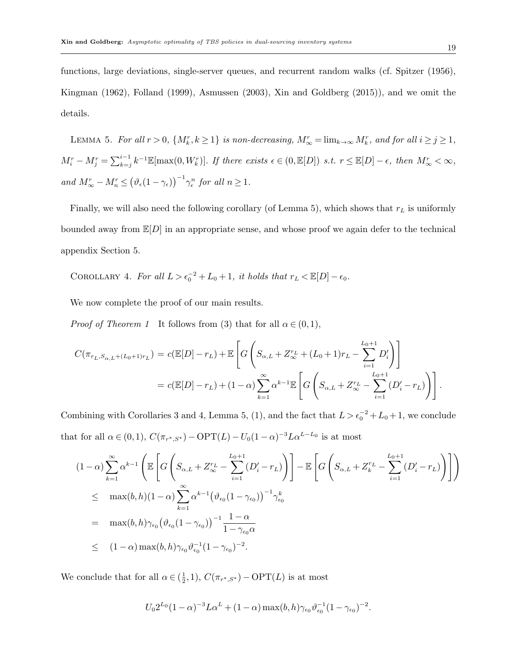functions, large deviations, single-server queues, and recurrent random walks (cf. Spitzer (1956), Kingman (1962), Folland (1999), Asmussen (2003), Xin and Goldberg (2015)), and we omit the details.

LEMMA 5. For all  $r > 0$ ,  $\{M_k^r, k \ge 1\}$  is non-decreasing,  $M_{\infty}^r = \lim_{k \to \infty} M_k^r$ , and for all  $i \ge j \ge 1$ ,  $M_i^r - M_j^r = \sum_{k=j}^{i-1} k^{-1} \mathbb{E}[\max(0, W_k^r)]$ . If there exists  $\epsilon \in (0, \mathbb{E}[D])$  s.t.  $r \leq \mathbb{E}[D] - \epsilon$ , then  $M_{\infty}^r < \infty$ , and  $M_{\infty}^r - M_n^r \leq (\vartheta_{\epsilon}(1-\gamma_{\epsilon}))^{-1} \gamma_{\epsilon}^n$  for all  $n \geq 1$ .

Finally, we will also need the following corollary (of Lemma 5), which shows that  $r<sub>L</sub>$  is uniformly bounded away from  $\mathbb{E}[D]$  in an appropriate sense, and whose proof we again defer to the technical appendix Section 5.

COROLLARY 4. For all  $L > \epsilon_0^{-2} + L_0 + 1$ , it holds that  $r_L < \mathbb{E}[D] - \epsilon_0$ .

We now complete the proof of our main results.

*Proof of Theorem 1* It follows from (3) that for all  $\alpha \in (0,1)$ ,

$$
C(\pi_{r_L, S_{\alpha, L} + (L_0 + 1)r_L}) = c(\mathbb{E}[D] - r_L) + \mathbb{E}\left[G\left(S_{\alpha, L} + Z_{\infty}^{r_L} + (L_0 + 1)r_L - \sum_{i=1}^{L_0 + 1} D_i'\right)\right]
$$
  
=  $c(\mathbb{E}[D] - r_L) + (1 - \alpha) \sum_{k=1}^{\infty} \alpha^{k-1} \mathbb{E}\left[G\left(S_{\alpha, L} + Z_{\infty}^{r_L} - \sum_{i=1}^{L_0 + 1} (D_i' - r_L)\right)\right].$ 

Combining with Corollaries 3 and 4, Lemma 5, (1), and the fact that  $L > \epsilon_0^{-2} + L_0 + 1$ , we conclude that for all  $\alpha \in (0, 1)$ ,  $C(\pi_{r^*, S^*}) - \text{OPT}(L) - U_0(1 - \alpha)^{-3} L \alpha^{L-L_0}$  is at most

$$
(1-\alpha)\sum_{k=1}^{\infty} \alpha^{k-1} \left( \mathbb{E}\left[ G\left( S_{\alpha,L} + Z_{\infty}^{r_L} - \sum_{i=1}^{L_0+1} (D_i' - r_L) \right) \right] - \mathbb{E}\left[ G\left( S_{\alpha,L} + Z_{k}^{r_L} - \sum_{i=1}^{L_0+1} (D_i' - r_L) \right) \right] \right)
$$
  
\n
$$
\leq \max(b, h) (1-\alpha) \sum_{k=1}^{\infty} \alpha^{k-1} \left( \vartheta_{\epsilon_0} (1-\gamma_{\epsilon_0}) \right)^{-1} \gamma_{\epsilon_0}^{k}
$$
  
\n
$$
= \max(b, h) \gamma_{\epsilon_0} \left( \vartheta_{\epsilon_0} (1-\gamma_{\epsilon_0}) \right)^{-1} \frac{1-\alpha}{1-\gamma_{\epsilon_0} \alpha}
$$
  
\n
$$
\leq (1-\alpha) \max(b, h) \gamma_{\epsilon_0} \vartheta_{\epsilon_0}^{-1} (1-\gamma_{\epsilon_0})^{-2}.
$$

We conclude that for all  $\alpha \in (\frac{1}{2})$  $(\frac{1}{2},1), C(\pi_{r^*,S^*}) - \text{OPT}(L)$  is at most

$$
U_0 2^{L_0} (1 - \alpha)^{-3} L \alpha^L + (1 - \alpha) \max(b, h) \gamma_{\epsilon_0} \vartheta_{\epsilon_0}^{-1} (1 - \gamma_{\epsilon_0})^{-2}.
$$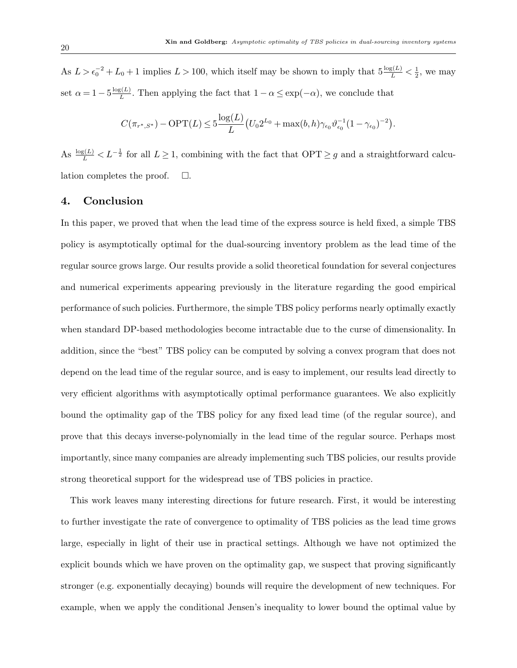As  $L > \epsilon_0^{-2} + L_0 + 1$  implies  $L > 100$ , which itself may be shown to imply that  $5\frac{\log(L)}{L} < \frac{1}{2}$  $\frac{1}{2}$ , we may set  $\alpha = 1 - 5 \frac{\log(L)}{L}$  $\frac{\zeta(L)}{L}$ . Then applying the fact that  $1 - \alpha \leq \exp(-\alpha)$ , we conclude that

$$
C(\pi_{r^*,S^*}) - \text{OPT}(L) \leq 5 \frac{\log(L)}{L} \big( U_0 2^{L_0} + \max(b,h) \gamma_{\epsilon_0} \vartheta_{\epsilon_0}^{-1} (1 - \gamma_{\epsilon_0})^{-2} \big).
$$

As  $\frac{\log(L)}{L} < L^{-\frac{1}{2}}$  for all  $L \ge 1$ , combining with the fact that  $\text{OPT} \ge g$  and a straightforward calculation completes the proof.  $\Box$ .

## 4. Conclusion

In this paper, we proved that when the lead time of the express source is held fixed, a simple TBS policy is asymptotically optimal for the dual-sourcing inventory problem as the lead time of the regular source grows large. Our results provide a solid theoretical foundation for several conjectures and numerical experiments appearing previously in the literature regarding the good empirical performance of such policies. Furthermore, the simple TBS policy performs nearly optimally exactly when standard DP-based methodologies become intractable due to the curse of dimensionality. In addition, since the "best" TBS policy can be computed by solving a convex program that does not depend on the lead time of the regular source, and is easy to implement, our results lead directly to very efficient algorithms with asymptotically optimal performance guarantees. We also explicitly bound the optimality gap of the TBS policy for any fixed lead time (of the regular source), and prove that this decays inverse-polynomially in the lead time of the regular source. Perhaps most importantly, since many companies are already implementing such TBS policies, our results provide strong theoretical support for the widespread use of TBS policies in practice.

This work leaves many interesting directions for future research. First, it would be interesting to further investigate the rate of convergence to optimality of TBS policies as the lead time grows large, especially in light of their use in practical settings. Although we have not optimized the explicit bounds which we have proven on the optimality gap, we suspect that proving significantly stronger (e.g. exponentially decaying) bounds will require the development of new techniques. For example, when we apply the conditional Jensen's inequality to lower bound the optimal value by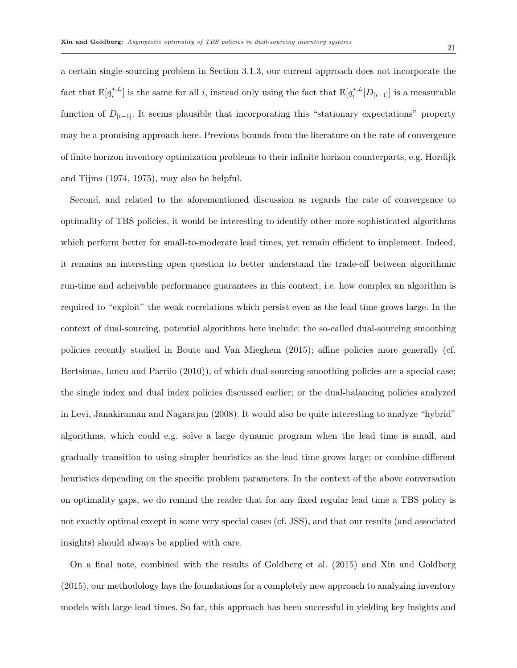a certain single-sourcing problem in Section 3.1.3, our current approach does not incorporate the fact that  $\mathbb{E}[q_i^{*,L}]$  is the same for all i, instead only using the fact that  $\mathbb{E}[q_i^{*,L}|D_{[i-1]}]$  is a measurable function of  $D_{[i-1]}$ . It seems plausible that incorporating this "stationary expectations" property may be a promising approach here. Previous bounds from the literature on the rate of convergence of finite horizon inventory optimization problems to their infinite horizon counterparts, e.g. Hordijk and Tijms (1974, 1975), may also be helpful.

Second, and related to the aforementioned discussion as regards the rate of convergence to optimality of TBS policies, it would be interesting to identify other more sophisticated algorithms which perform better for small-to-moderate lead times, yet remain efficient to implement. Indeed, it remains an interesting open question to better understand the trade-off between algorithmic run-time and acheivable performance guarantees in this context, i.e. how complex an algorithm is required to "exploit" the weak correlations which persist even as the lead time grows large. In the context of dual-sourcing, potential algorithms here include: the so-called dual-sourcing smoothing policies recently studied in Boute and Van Mieghem (2015); affine policies more generally (cf. Bertsimas, Iancu and Parrilo (2010)), of which dual-sourcing smoothing policies are a special case; the single index and dual index policies discussed earlier; or the dual-balancing policies analyzed in Levi, Janakiraman and Nagarajan (2008). It would also be quite interesting to analyze "hybrid" algorithms, which could e.g. solve a large dynamic program when the lead time is small, and gradually transition to using simpler heuristics as the lead time grows large; or combine different heuristics depending on the specific problem parameters. In the context of the above conversation on optimality gaps, we do remind the reader that for any fixed regular lead time a TBS policy is not exactly optimal except in some very special cases (cf. JSS), and that our results (and associated insights) should always be applied with care.

On a final note, combined with the results of Goldberg et al. (2015) and Xin and Goldberg (2015), our methodology lays the foundations for a completely new approach to analyzing inventory models with large lead times. So far, this approach has been successful in yielding key insights and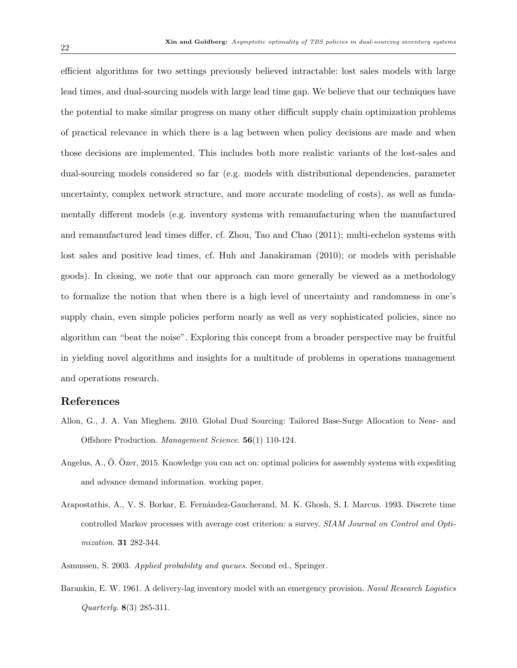efficient algorithms for two settings previously believed intractable: lost sales models with large lead times, and dual-sourcing models with large lead time gap. We believe that our techniques have the potential to make similar progress on many other difficult supply chain optimization problems of practical relevance in which there is a lag between when policy decisions are made and when those decisions are implemented. This includes both more realistic variants of the lost-sales and dual-sourcing models considered so far (e.g. models with distributional dependencies, parameter uncertainty, complex network structure, and more accurate modeling of costs), as well as fundamentally different models (e.g. inventory systems with remanufacturing when the manufactured and remanufactured lead times differ, cf. Zhou, Tao and Chao (2011); multi-echelon systems with lost sales and positive lead times, cf. Huh and Janakiraman (2010); or models with perishable goods). In closing, we note that our approach can more generally be viewed as a methodology to formalize the notion that when there is a high level of uncertainty and randomness in one's supply chain, even simple policies perform nearly as well as very sophisticated policies, since no algorithm can "beat the noise". Exploring this concept from a broader perspective may be fruitful in yielding novel algorithms and insights for a multitude of problems in operations management and operations research.

# References

- Allon, G., J. A. Van Mieghem. 2010. Global Dual Sourcing: Tailored Base-Surge Allocation to Near- and Offshore Production. Management Science. 56(1) 110-124.
- Angelus, A.,  $\ddot{O}$ .  $\ddot{O}$ zer, 2015. Knowledge you can act on: optimal policies for assembly systems with expediting and advance demand information. working paper.
- Arapostathis, A., V. S. Borkar, E. Fernández-Gaucherand, M. K. Ghosh, S. I. Marcus. 1993. Discrete time controlled Markov processes with average cost criterion: a survey. SIAM Journal on Control and Optimization. 31 282-344.
- Asmussen, S. 2003. Applied probability and queues. Second ed., Springer.
- Barankin, E. W. 1961. A delivery-lag inventory model with an emergency provision. Naval Research Logistics Quarterly. 8(3) 285-311.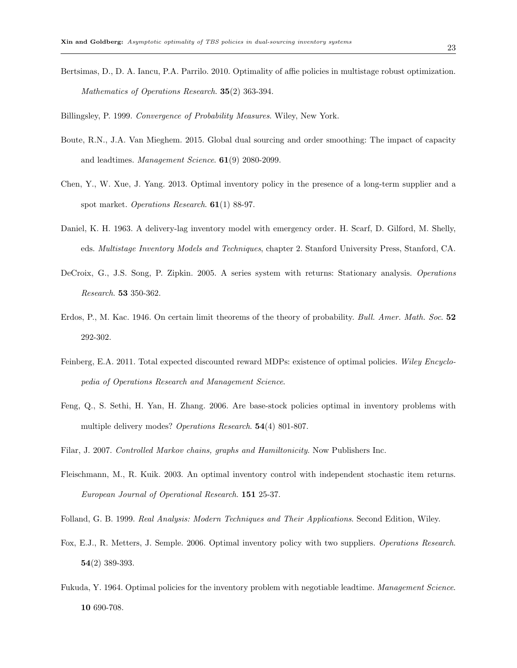- Bertsimas, D., D. A. Iancu, P.A. Parrilo. 2010. Optimality of affie policies in multistage robust optimization. Mathematics of Operations Research. 35(2) 363-394.
- Billingsley, P. 1999. Convergence of Probability Measures. Wiley, New York.
- Boute, R.N., J.A. Van Mieghem. 2015. Global dual sourcing and order smoothing: The impact of capacity and leadtimes. Management Science. 61(9) 2080-2099.
- Chen, Y., W. Xue, J. Yang. 2013. Optimal inventory policy in the presence of a long-term supplier and a spot market. Operations Research. 61(1) 88-97.
- Daniel, K. H. 1963. A delivery-lag inventory model with emergency order. H. Scarf, D. Gilford, M. Shelly, eds. Multistage Inventory Models and Techniques, chapter 2. Stanford University Press, Stanford, CA.
- DeCroix, G., J.S. Song, P. Zipkin. 2005. A series system with returns: Stationary analysis. Operations Research. 53 350-362.
- Erdos, P., M. Kac. 1946. On certain limit theorems of the theory of probability. Bull. Amer. Math. Soc. 52 292-302.
- Feinberg, E.A. 2011. Total expected discounted reward MDPs: existence of optimal policies. Wiley Encyclopedia of Operations Research and Management Science.
- Feng, Q., S. Sethi, H. Yan, H. Zhang. 2006. Are base-stock policies optimal in inventory problems with multiple delivery modes? Operations Research. 54(4) 801-807.
- Filar, J. 2007. Controlled Markov chains, graphs and Hamiltonicity. Now Publishers Inc.
- Fleischmann, M., R. Kuik. 2003. An optimal inventory control with independent stochastic item returns. European Journal of Operational Research. 151 25-37.
- Folland, G. B. 1999. Real Analysis: Modern Techniques and Their Applications. Second Edition, Wiley.
- Fox, E.J., R. Metters, J. Semple. 2006. Optimal inventory policy with two suppliers. Operations Research. 54(2) 389-393.
- Fukuda, Y. 1964. Optimal policies for the inventory problem with negotiable leadtime. Management Science. 10 690-708.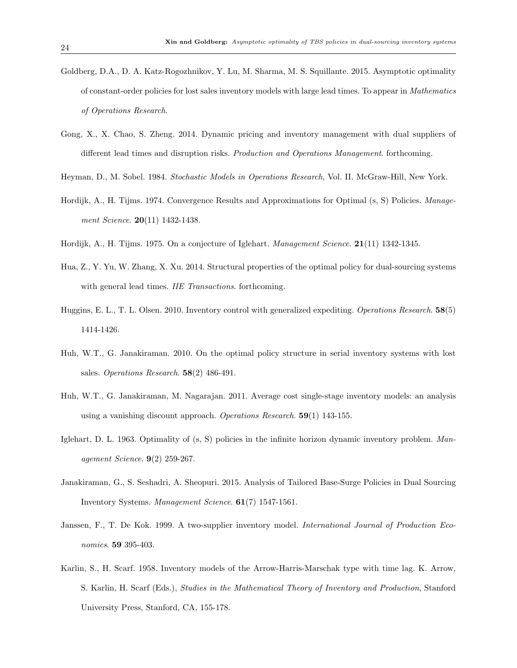- Goldberg, D.A., D. A. Katz-Rogozhnikov, Y. Lu, M. Sharma, M. S. Squillante. 2015. Asymptotic optimality of constant-order policies for lost sales inventory models with large lead times. To appear in Mathematics of Operations Research.
- Gong, X., X. Chao, S. Zheng. 2014. Dynamic pricing and inventory management with dual suppliers of different lead times and disruption risks. Production and Operations Management. forthcoming.
- Heyman, D., M. Sobel. 1984. Stochastic Models in Operations Research, Vol. II. McGraw-Hill, New York.
- Hordijk, A., H. Tijms. 1974. Convergence Results and Approximations for Optimal (s, S) Policies. Management Science. **20**(11) 1432-1438.
- Hordijk, A., H. Tijms. 1975. On a conjecture of Iglehart. Management Science. 21(11) 1342-1345.
- Hua, Z., Y. Yu, W. Zhang, X. Xu. 2014. Structural properties of the optimal policy for dual-sourcing systems with general lead times. IIE Transactions. forthcoming.
- Huggins, E. L., T. L. Olsen. 2010. Inventory control with generalized expediting. Operations Research. 58(5) 1414-1426.
- Huh, W.T., G. Janakiraman. 2010. On the optimal policy structure in serial inventory systems with lost sales. Operations Research.  $58(2)$  486-491.
- Huh, W.T., G. Janakiraman, M. Nagarajan. 2011. Average cost single-stage inventory models: an analysis using a vanishing discount approach. Operations Research.  $59(1)$  143-155.
- Iglehart, D. L. 1963. Optimality of (s, S) policies in the infinite horizon dynamic inventory problem. Management Science. 9(2) 259-267.
- Janakiraman, G., S. Seshadri, A. Sheopuri. 2015. Analysis of Tailored Base-Surge Policies in Dual Sourcing Inventory Systems. Management Science. 61(7) 1547-1561.
- Janssen, F., T. De Kok. 1999. A two-supplier inventory model. International Journal of Production Economics. **59** 395-403.
- Karlin, S., H. Scarf. 1958. Inventory models of the Arrow-Harris-Marschak type with time lag. K. Arrow, S. Karlin, H. Scarf (Eds.), Studies in the Mathematical Theory of Inventory and Production, Stanford University Press, Stanford, CA, 155-178.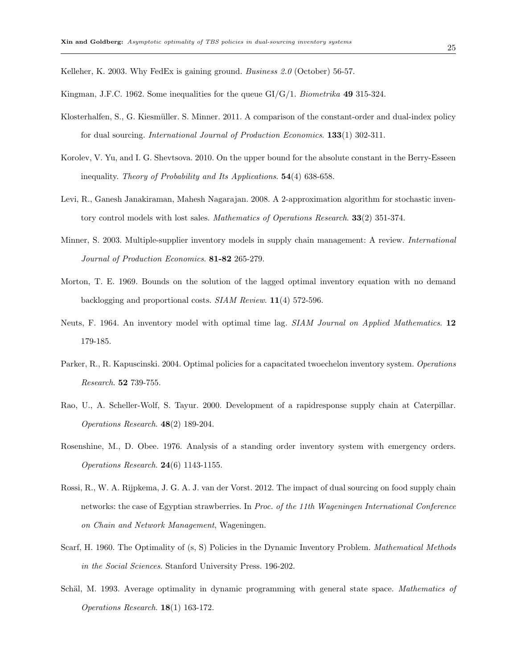Kelleher, K. 2003. Why FedEx is gaining ground. Business 2.0 (October) 56-57.

Kingman, J.F.C. 1962. Some inequalities for the queue  $GI/G/1$ . Biometrika 49 315-324.

- Klosterhalfen, S., G. Kiesmüller. S. Minner. 2011. A comparison of the constant-order and dual-index policy for dual sourcing. *International Journal of Production Economics*. **133**(1) 302-311.
- Korolev, V. Yu, and I. G. Shevtsova. 2010. On the upper bound for the absolute constant in the Berry-Esseen inequality. Theory of Probability and Its Applications. 54(4) 638-658.
- Levi, R., Ganesh Janakiraman, Mahesh Nagarajan. 2008. A 2-approximation algorithm for stochastic inventory control models with lost sales. Mathematics of Operations Research. 33(2) 351-374.
- Minner, S. 2003. Multiple-supplier inventory models in supply chain management: A review. International Journal of Production Economics. 81-82 265-279.
- Morton, T. E. 1969. Bounds on the solution of the lagged optimal inventory equation with no demand backlogging and proportional costs. SIAM Review. 11(4) 572-596.
- Neuts, F. 1964. An inventory model with optimal time lag. SIAM Journal on Applied Mathematics. 12 179-185.
- Parker, R., R. Kapuscinski. 2004. Optimal policies for a capacitated two echelon inventory system. Operations Research. 52 739-755.
- Rao, U., A. Scheller-Wolf, S. Tayur. 2000. Development of a rapidresponse supply chain at Caterpillar. Operations Research. 48(2) 189-204.
- Rosenshine, M., D. Obee. 1976. Analysis of a standing order inventory system with emergency orders. Operations Research. 24(6) 1143-1155.
- Rossi, R., W. A. Rijpkema, J. G. A. J. van der Vorst. 2012. The impact of dual sourcing on food supply chain networks: the case of Egyptian strawberries. In Proc. of the 11th Wageningen International Conference on Chain and Network Management, Wageningen.
- Scarf, H. 1960. The Optimality of  $(s, S)$  Policies in the Dynamic Inventory Problem. *Mathematical Methods* in the Social Sciences. Stanford University Press. 196-202.
- Schäl, M. 1993. Average optimality in dynamic programming with general state space. Mathematics of Operations Research. 18(1) 163-172.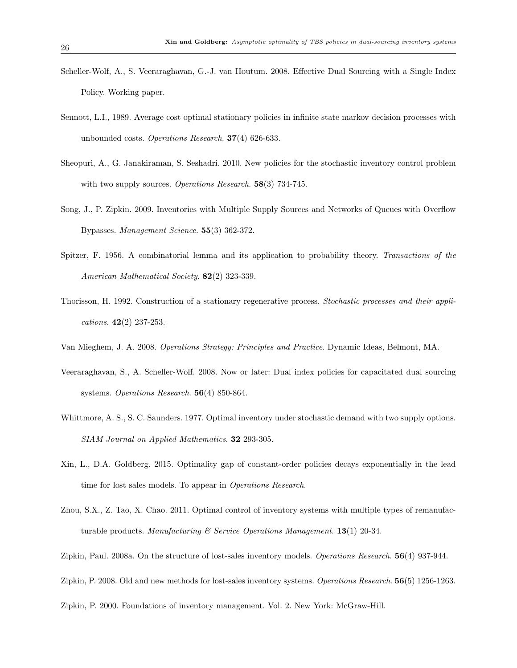- Scheller-Wolf, A., S. Veeraraghavan, G.-J. van Houtum. 2008. Effective Dual Sourcing with a Single Index Policy. Working paper.
- Sennott, L.I., 1989. Average cost optimal stationary policies in infinite state markov decision processes with unbounded costs. Operations Research. 37(4) 626-633.
- Sheopuri, A., G. Janakiraman, S. Seshadri. 2010. New policies for the stochastic inventory control problem with two supply sources. Operations Research. 58(3) 734-745.
- Song, J., P. Zipkin. 2009. Inventories with Multiple Supply Sources and Networks of Queues with Overflow Bypasses. Management Science. 55(3) 362-372.
- Spitzer, F. 1956. A combinatorial lemma and its application to probability theory. Transactions of the American Mathematical Society. **82**(2) 323-339.
- Thorisson, H. 1992. Construction of a stationary regenerative process. Stochastic processes and their applications.  $42(2)$  237-253.
- Van Mieghem, J. A. 2008. Operations Strategy: Principles and Practice. Dynamic Ideas, Belmont, MA.
- Veeraraghavan, S., A. Scheller-Wolf. 2008. Now or later: Dual index policies for capacitated dual sourcing systems. Operations Research. **56**(4) 850-864.
- Whittmore, A. S., S. C. Saunders. 1977. Optimal inventory under stochastic demand with two supply options. SIAM Journal on Applied Mathematics. 32 293-305.
- Xin, L., D.A. Goldberg. 2015. Optimality gap of constant-order policies decays exponentially in the lead time for lost sales models. To appear in *Operations Research*.
- Zhou, S.X., Z. Tao, X. Chao. 2011. Optimal control of inventory systems with multiple types of remanufacturable products. Manufacturing & Service Operations Management.  $13(1)$  20-34.
- Zipkin, Paul. 2008a. On the structure of lost-sales inventory models. Operations Research. 56(4) 937-944.
- Zipkin, P. 2008. Old and new methods for lost-sales inventory systems. Operations Research. 56(5) 1256-1263.

Zipkin, P. 2000. Foundations of inventory management. Vol. 2. New York: McGraw-Hill.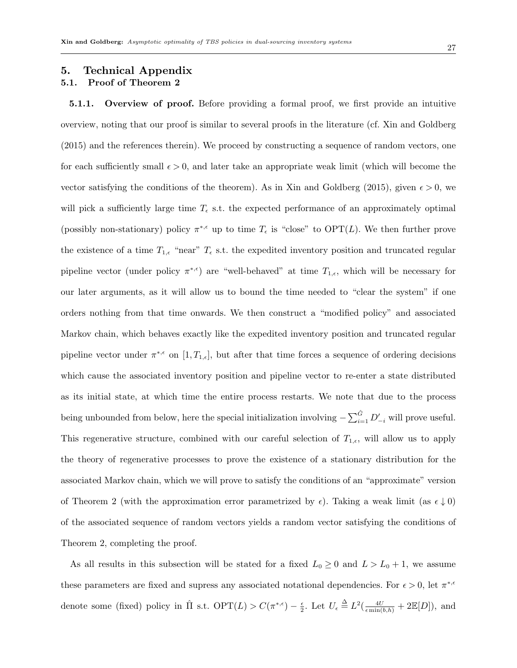# 5. Technical Appendix 5.1. Proof of Theorem 2

5.1.1. Overview of proof. Before providing a formal proof, we first provide an intuitive overview, noting that our proof is similar to several proofs in the literature (cf. Xin and Goldberg (2015) and the references therein). We proceed by constructing a sequence of random vectors, one for each sufficiently small  $\epsilon > 0$ , and later take an appropriate weak limit (which will become the vector satisfying the conditions of the theorem). As in Xin and Goldberg (2015), given  $\epsilon > 0$ , we will pick a sufficiently large time  $T_{\epsilon}$  s.t. the expected performance of an approximately optimal (possibly non-stationary) policy  $\pi^{*,\epsilon}$  up to time  $T_{\epsilon}$  is "close" to OPT(L). We then further prove the existence of a time  $T_{1,\epsilon}$  "near"  $T_{\epsilon}$  s.t. the expedited inventory position and truncated regular pipeline vector (under policy  $\pi^{*,\epsilon}$ ) are "well-behaved" at time  $T_{1,\epsilon}$ , which will be necessary for our later arguments, as it will allow us to bound the time needed to "clear the system" if one orders nothing from that time onwards. We then construct a "modified policy" and associated Markov chain, which behaves exactly like the expedited inventory position and truncated regular pipeline vector under  $\pi^{*,\epsilon}$  on  $[1,T_{1,\epsilon}]$ , but after that time forces a sequence of ordering decisions which cause the associated inventory position and pipeline vector to re-enter a state distributed as its initial state, at which time the entire process restarts. We note that due to the process being unbounded from below, here the special initialization involving  $-\sum_{i=1}^{\hat{G}} D'_{-i}$  will prove useful. This regenerative structure, combined with our careful selection of  $T_{1,\epsilon}$ , will allow us to apply the theory of regenerative processes to prove the existence of a stationary distribution for the associated Markov chain, which we will prove to satisfy the conditions of an "approximate" version of Theorem 2 (with the approximation error parametrized by  $\epsilon$ ). Taking a weak limit (as  $\epsilon \downarrow 0$ ) of the associated sequence of random vectors yields a random vector satisfying the conditions of Theorem 2, completing the proof.

As all results in this subsection will be stated for a fixed  $L_0 \ge 0$  and  $L > L_0 + 1$ , we assume these parameters are fixed and supress any associated notational dependencies. For  $\epsilon > 0$ , let  $\pi^{*,\epsilon}$ denote some (fixed) policy in  $\hat{\Pi}$  s.t.  $\text{OPT}(L) > C(\pi^{*, \epsilon}) - \frac{\epsilon}{2}$  $\frac{\epsilon}{2}$ . Let  $U_{\epsilon} \triangleq L^2(\frac{4U}{\epsilon \min(b,h)} + 2\mathbb{E}[D]),$  and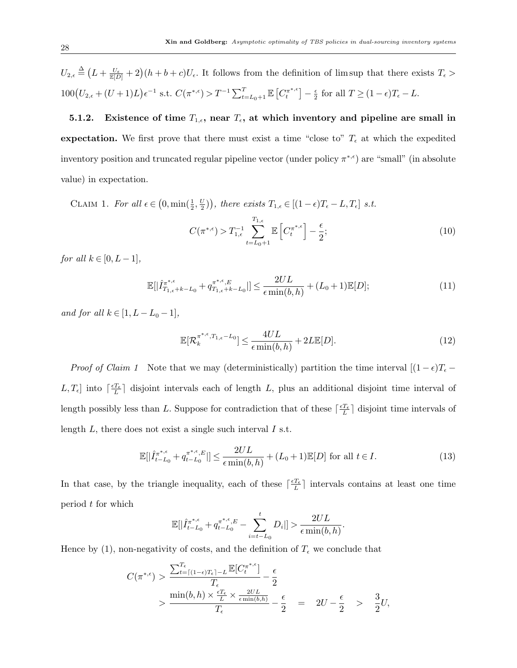$U_{2,\epsilon} \triangleq (L + \frac{U_{\epsilon}}{\mathbb{E}[D]} + 2)(h + b + c)U_{\epsilon}$ . It follows from the definition of lim sup that there exists  $T_{\epsilon}$  $100(U_{2,\epsilon} + (U+1)L)\epsilon^{-1}$  s.t.  $C(\pi^{*,\epsilon}) > T^{-1} \sum_{t=L_0+1}^{T} \mathbb{E} \left[ C_t^{\pi^{*,\epsilon}} \right]$  $\left[ \begin{smallmatrix} \pi^{\ast,\epsilon} \ t \end{smallmatrix} \right] - \frac{\epsilon}{2}$  $\frac{\epsilon}{2}$  for all  $T \ge (1 - \epsilon)T_{\epsilon} - L$ .

5.1.2. Existence of time  $T_{1,\epsilon}$ , near  $T_{\epsilon}$ , at which inventory and pipeline are small in expectation. We first prove that there must exist a time "close to"  $T_{\epsilon}$  at which the expedited inventory position and truncated regular pipeline vector (under policy  $\pi^{*,\epsilon}$ ) are "small" (in absolute value) in expectation.

CLAIM 1. For all  $\epsilon \in (0, \min(\frac{1}{2}, \frac{U}{2})$  $\left(\frac{U}{2}\right)$ , there exists  $T_{1,\epsilon} \in [(1-\epsilon)T_{\epsilon} - L, T_{\epsilon}]$  s.t.

$$
C(\pi^{*,\epsilon}) > T_{1,\epsilon}^{-1} \sum_{t=L_0+1}^{T_{1,\epsilon}} \mathbb{E}\left[C_t^{\pi^{*,\epsilon}}\right] - \frac{\epsilon}{2};\tag{10}
$$

for all  $k \in [0, L-1]$ ,

$$
\mathbb{E}[|\hat{I}_{T_{1,\epsilon}+k-L_0}^{\pi^{*,\epsilon}} + q_{T_{1,\epsilon}+k-L_0}^{\pi^{*,\epsilon},E}|] \le \frac{2UL}{\epsilon \min(b,h)} + (L_0+1)\mathbb{E}[D];\tag{11}
$$

and for all  $k \in [1, L - L_0 - 1]$ ,

$$
\mathbb{E}[\mathcal{R}_k^{\pi^{*,\epsilon},T_{1,\epsilon}-L_0}] \le \frac{4UL}{\epsilon \min(b,h)} + 2L\mathbb{E}[D].\tag{12}
$$

*Proof of Claim 1* Note that we may (deterministically) partition the time interval  $[(1 - \epsilon)T_{\epsilon} L, T_{\epsilon}$  into  $\lceil \frac{\epsilon T_{\epsilon}}{L} \rceil$  disjoint intervals each of length L, plus an additional disjoint time interval of length possibly less than L. Suppose for contradiction that of these  $\lceil \frac{\epsilon T_{\epsilon}}{L} \rceil$  disjoint time intervals of length  $L$ , there does not exist a single such interval  $I$  s.t.

$$
\mathbb{E}\left[\left|\hat{I}_{t-L_0}^{\pi^{*,\epsilon}} + q_{t-L_0}^{\pi^{*,\epsilon},E}\right|\right] \le \frac{2UL}{\epsilon \min(b,h)} + (L_0+1)\mathbb{E}[D] \text{ for all } t \in I.
$$
\n
$$
(13)
$$

In that case, by the triangle inequality, each of these  $\lceil \frac{\epsilon T_{\epsilon}}{L} \rceil$  intervals contains at least one time period t for which

$$
\mathbb{E}[|\hat{I}_{t-L_0}^{\pi^{*,\epsilon}} + q_{t-L_0}^{\pi^{*,\epsilon},E} - \sum_{i=t-L_0}^t D_i]| > \frac{2UL}{\epsilon \min(b,h)}.
$$

Hence by (1), non-negativity of costs, and the definition of  $T_{\epsilon}$  we conclude that

$$
C(\pi^{*,\epsilon}) > \frac{\sum_{t=\lceil(1-\epsilon)T_{\epsilon}\rceil-L}^{T_{\epsilon}}\mathbb{E}[C_t^{\pi^{*,\epsilon}}]}{T_{\epsilon}} - \frac{\epsilon}{2}
$$
  
> 
$$
\frac{\min(b,h) \times \frac{\epsilon T_{\epsilon}}{L} \times \frac{2UL}{\epsilon \min(b,h)}}{T_{\epsilon}} - \frac{\epsilon}{2} = 2U - \frac{\epsilon}{2} > \frac{3}{2}U,
$$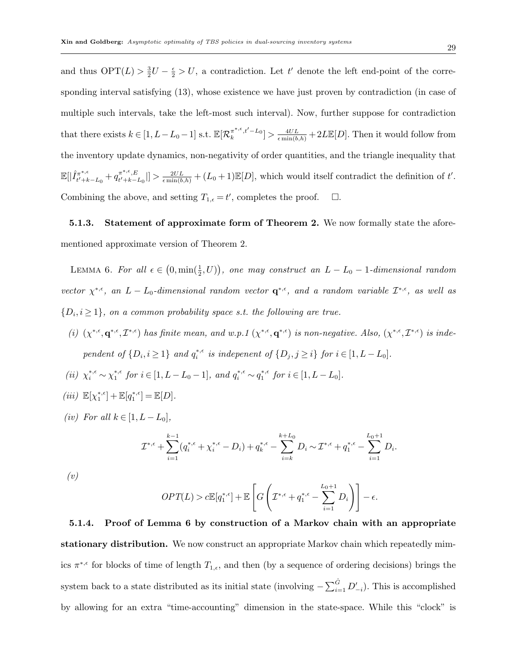and thus  $\text{OPT}(L) > \frac{3}{2}$  $\frac{3}{2}U - \frac{\epsilon}{2} > U$ , a contradiction. Let t' denote the left end-point of the corresponding interval satisfying (13), whose existence we have just proven by contradiction (in case of multiple such intervals, take the left-most such interval). Now, further suppose for contradiction that there exists  $k \in [1, L-L_0-1]$  s.t.  $\mathbb{E}[\mathcal{R}_k^{\pi^{*,\epsilon},t'-L_0}] > \frac{4UL}{\epsilon \min(b,h)} + 2L\mathbb{E}[D]$ . Then it would follow from the inventory update dynamics, non-negativity of order quantities, and the triangle inequality that  $\mathbb{E}[|\hat{I}_{t'+k}^{\pi^{*,\epsilon}}|$  $t^{i_{\pi^{*,\epsilon}}}_{t'+k-L_0} + q_{t'+k-}^{\pi^{*,\epsilon},E}$  $\mathbb{E}[\mathbb{E}_{t'+k-L_0}^{*,\epsilon,E}]\geq \frac{2UL}{\epsilon \min(b,h)}+(L_0+1)\mathbb{E}[D],$  which would itself contradict the definition of t'. Combining the above, and setting  $T_{1,\epsilon} = t'$ , completes the proof.  $\Box$ .

5.1.3. Statement of approximate form of Theorem 2. We now formally state the aforementioned approximate version of Theorem 2.

LEMMA 6. For all  $\epsilon \in (0, \min(\frac{1}{2}, U))$ , one may construct an  $L - L_0 - 1$ -dimensional random vector  $\chi^{*,\epsilon}$ , an  $L - L_0$ -dimensional random vector  $\mathbf{q}^{*,\epsilon}$ , and a random variable  $\mathcal{I}^{*,\epsilon}$ , as well as  $\{D_i, i \geq 1\}$ , on a common probability space s.t. the following are true.

- (i)  $(\chi^{*,\epsilon}, \mathbf{q}^{*,\epsilon}, \mathcal{I}^{*,\epsilon})$  has finite mean, and w.p.1  $(\chi^{*,\epsilon}, \mathbf{q}^{*,\epsilon})$  is non-negative. Also,  $(\chi^{*,\epsilon}, \mathcal{I}^{*,\epsilon})$  is independent of  $\{D_i, i \geq 1\}$  and  $q_i^{*, \epsilon}$  is indepenent of  $\{D_j, j \geq i\}$  for  $i \in [1, L - L_0]$ .
- (ii)  $\chi_i^{*,\epsilon} \sim \chi_1^{*,\epsilon}$  for  $i \in [1, L L_0 1]$ , and  $q_i^{*,\epsilon} \sim q_1^{*,\epsilon}$  for  $i \in [1, L L_0]$ .
- $(iii) \mathbb{E}[\chi_1^{*,\epsilon}] + \mathbb{E}[q_1^{*,\epsilon}] = \mathbb{E}[D].$
- (iv) For all  $k \in [1, L L_0]$ ,

$$
\mathcal{I}^{*,\epsilon} + \sum_{i=1}^{k-1} (q_i^{*,\epsilon} + \chi_i^{*,\epsilon} - D_i) + q_k^{*,\epsilon} - \sum_{i=k}^{k+L_0} D_i \sim \mathcal{I}^{*,\epsilon} + q_1^{*,\epsilon} - \sum_{i=1}^{L_0+1} D_i.
$$

(v)

$$
OPT(L) > c\mathbb{E}[q_1^{*,\epsilon}] + \mathbb{E}\left[G\left(\mathcal{I}^{*,\epsilon} + q_1^{*,\epsilon} - \sum_{i=1}^{L_0+1} D_i\right)\right] - \epsilon.
$$

5.1.4. Proof of Lemma 6 by construction of a Markov chain with an appropriate stationary distribution. We now construct an appropriate Markov chain which repeatedly mimics  $\pi^{*,\epsilon}$  for blocks of time of length  $T_{1,\epsilon}$ , and then (by a sequence of ordering decisions) brings the system back to a state distributed as its initial state (involving  $-\sum_{i=1}^{\hat{G}} D'_{-i}$ ). This is accomplished by allowing for an extra "time-accounting" dimension in the state-space. While this "clock" is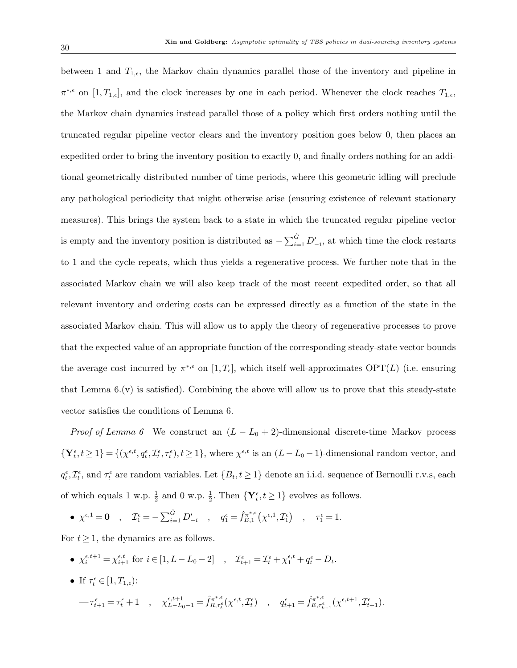between 1 and  $T_{1,\epsilon}$ , the Markov chain dynamics parallel those of the inventory and pipeline in  $\pi^{*,\epsilon}$  on  $[1,T_{1,\epsilon}]$ , and the clock increases by one in each period. Whenever the clock reaches  $T_{1,\epsilon}$ , the Markov chain dynamics instead parallel those of a policy which first orders nothing until the truncated regular pipeline vector clears and the inventory position goes below 0, then places an expedited order to bring the inventory position to exactly 0, and finally orders nothing for an additional geometrically distributed number of time periods, where this geometric idling will preclude any pathological periodicity that might otherwise arise (ensuring existence of relevant stationary measures). This brings the system back to a state in which the truncated regular pipeline vector is empty and the inventory position is distributed as  $-\sum_{i=1}^{\hat{G}} D'_{-i}$ , at which time the clock restarts to 1 and the cycle repeats, which thus yields a regenerative process. We further note that in the associated Markov chain we will also keep track of the most recent expedited order, so that all relevant inventory and ordering costs can be expressed directly as a function of the state in the associated Markov chain. This will allow us to apply the theory of regenerative processes to prove that the expected value of an appropriate function of the corresponding steady-state vector bounds the average cost incurred by  $\pi^{*,\epsilon}$  on  $[1,T_{\epsilon}]$ , which itself well-approximates  $\text{OPT}(L)$  (i.e. ensuring that Lemma  $6(x)$  is satisfied). Combining the above will allow us to prove that this steady-state vector satisfies the conditions of Lemma 6.

*Proof of Lemma 6* We construct an  $(L - L_0 + 2)$ -dimensional discrete-time Markov process  $\{Y_t^{\epsilon}, t \geq 1\} = \{(\chi^{\epsilon, t}, q_t^{\epsilon}, \mathcal{I}_t^{\epsilon}, \tau_t^{\epsilon}), t \geq 1\}$ , where  $\chi^{\epsilon, t}$  is an  $(L - L_0 - 1)$ -dimensional random vector, and  $q_t^{\epsilon}, \mathcal{I}_t^{\epsilon}$ , and  $\tau_t^{\epsilon}$  are random variables. Let  $\{B_t, t \geq 1\}$  denote an i.i.d. sequence of Bernoulli r.v.s, each of which equals 1 w.p.  $\frac{1}{2}$  and 0 w.p.  $\frac{1}{2}$ . Then  $\{Y_t^{\epsilon}, t \geq 1\}$  evolves as follows.

•  $\chi^{\epsilon,1} = \mathbf{0}$  ,  $\mathcal{I}_1^{\epsilon} = -\sum_{i=1}^{\hat{G}} D'_{-i}$  ,  $q_1^{\epsilon} = \hat{f}_{E,1}^{\pi^{*,\epsilon}}$  $\mathcal{L}_{E,1}^{\pi^{*,\epsilon}}\big(\chi^{\epsilon,1},\mathcal{I}_1^{\epsilon}\big) \quad,\quad \tau_1^{\epsilon}=1.$ 

For  $t \geq 1$ , the dynamics are as follows.

•  $\chi_i^{\epsilon, t+1} = \chi_{i+1}^{\epsilon, t}$  for  $i \in [1, L - L_0 - 2]$ ,  $\mathcal{I}_{t+1}^{\epsilon} = \mathcal{I}_t^{\epsilon} + \chi_1^{\epsilon, t} + q_t^{\epsilon} - D_t$ . • If  $\tau_t^{\epsilon} \in [1, T_{1,\epsilon})$ :  $\label{eq:prest} -\tau^{\epsilon}_{t+1} = \tau^{\epsilon}_t + 1 \quad , \quad \chi^{\epsilon, t+1}_{L-L_0-1} = \hat{f}^{\pi^{*,\epsilon}}_{R, \tau^{\epsilon}_t}(\chi^{\epsilon, t}, \mathcal{I}^{\epsilon}_t) \quad , \quad q^{\epsilon}_{t+1} = \hat{f}^{\pi^{*,\epsilon}}_{E, \tau^{\epsilon}_{t+1}}(\chi^{\epsilon, t+1}, \mathcal{I}^{\epsilon}_{t+1}).$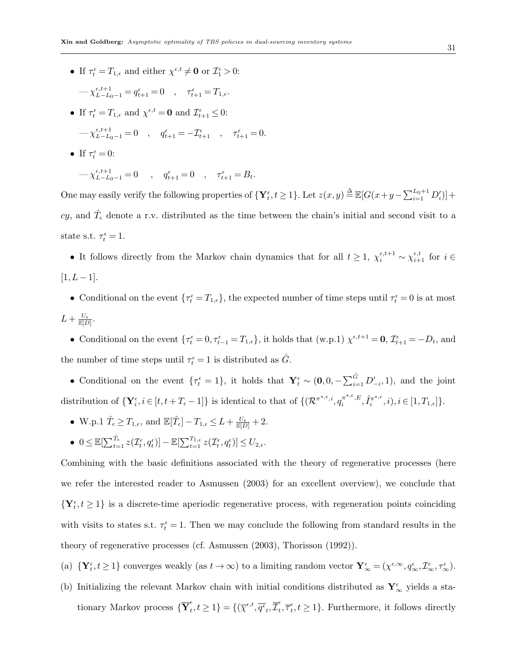• If  $\tau_t^{\epsilon} = T_{1,\epsilon}$  and either  $\chi^{\epsilon,t} \neq \mathbf{0}$  or  $\mathcal{I}_1^{\epsilon} > 0$ :

$$
-\chi_{L-L_0-1}^{\epsilon,t+1} = q_{t+1}^{\epsilon} = 0 \quad , \quad \tau_{t+1}^{\epsilon} = T_{1,\epsilon}.
$$

• If  $\tau_t^{\epsilon} = T_{1,\epsilon}$  and  $\chi^{\epsilon,t} = \mathbf{0}$  and  $\mathcal{I}_{t+1}^{\epsilon} \leq 0$ :

$$
-\chi^{\epsilon,t+1}_{L-L_0-1}=0\quad,\quad q^\epsilon_{t+1}=-\mathcal{I}^\epsilon_{t+1}\quad,\quad \tau^\epsilon_{t+1}=0.
$$

• If  $\tau_t^{\epsilon} = 0$ :

$$
-\chi_{L-L_0-1}^{\epsilon, t+1} = 0 \quad , \quad q_{t+1}^{\epsilon} = 0 \quad , \quad \tau_{t+1}^{\epsilon} = B_t.
$$

One may easily verify the following properties of  $\{Y_t^{\epsilon}, t \geq 1\}$ . Let  $z(x, y) \stackrel{\Delta}{=} \mathbb{E}[G(x+y-\sum_{i=1}^{L_0+1} D'_i)] +$ cy, and  $\hat{T}_{\epsilon}$  denote a r.v. distributed as the time between the chain's initial and second visit to a state s.t.  $\tau_t^{\epsilon} = 1$ .

• It follows directly from the Markov chain dynamics that for all  $t \geq 1$ ,  $\chi_i^{\epsilon,t+1} \sim \chi_{i+1}^{\epsilon,t}$  for  $i \in$  $[1, L - 1].$ 

• Conditional on the event  $\{\tau_t^{\epsilon} = T_{1,\epsilon}\}\)$ , the expected number of time steps until  $\tau_t^{\epsilon} = 0$  is at most  $L+\frac{U_{\epsilon}}{\mathbb{E}[D]}.$ 

• Conditional on the event  $\{\tau_t^{\epsilon} = 0, \tau_{t-1}^{\epsilon} = T_{1,\epsilon}\}\$ , it holds that  $(w.p.1) \chi^{\epsilon, t+1} = 0$ ,  $\mathcal{I}_{t+1}^{\epsilon} = -D_t$ , and the number of time steps until  $\tau_t^{\epsilon} = 1$  is distributed as  $\hat{G}$ .

• Conditional on the event  $\{\tau_t^{\epsilon} = 1\}$ , it holds that  $\mathbf{Y}_t^{\epsilon} \sim (\mathbf{0}, 0, -\sum_{i=1}^{\hat{G}} D'_{-i}, 1)$ , and the joint distribution of  $\{Y_i^{\epsilon}, i \in [t, t + T_{\epsilon} - 1]\}$  is identical to that of  $\{(\mathcal{R}^{\pi^{*,\epsilon}, i}, q_i^{\pi^{*,\epsilon}, E}, \hat{I}_i^{\pi^{*,\epsilon}})\}$  $\{\pi^{*,\epsilon}, i), i \in [1, T_{1,\epsilon}]\}.$ 

- W.p.1  $\hat{T}_{\epsilon} \geq T_{1,\epsilon}$ , and  $\mathbb{E}[\hat{T}_{\epsilon}] T_{1,\epsilon} \leq L + \frac{U_{\epsilon}}{\mathbb{E}[D]} + 2$ .
- $0 \leq \mathbb{E}[\sum_{t=1}^{\hat{T}_{\epsilon}} z(\mathcal{I}^{\epsilon}_t, q^{\epsilon}_t)] \mathbb{E}[\sum_{t=1}^{T_{1,\epsilon}} z(\mathcal{I}^{\epsilon}_t, q^{\epsilon}_t)] \leq U_{2,\epsilon}.$

Combining with the basic definitions associated with the theory of regenerative processes (here we refer the interested reader to Asmussen (2003) for an excellent overview), we conclude that  $\{Y_t^{\epsilon}, t \geq 1\}$  is a discrete-time aperiodic regenerative process, with regeneration points coinciding with visits to states s.t.  $\tau_t^{\epsilon} = 1$ . Then we may conclude the following from standard results in the theory of regenerative processes (cf. Asmussen (2003), Thorisson (1992)).

(a)  $\{Y_t^{\epsilon}, t \geq 1\}$  converges weakly (as  $t \to \infty$ ) to a limiting random vector  $Y_{\infty}^{\epsilon} = (\chi^{\epsilon, \infty}, q_{\infty}^{\epsilon}, \mathcal{I}_{\infty}^{\epsilon}, \tau_{\infty}^{\epsilon})$ .

(b) Initializing the relevant Markov chain with initial conditions distributed as  $\mathbf{Y}_{\infty}^{\epsilon}$  yields a stationary Markov process  $\{\overline{\mathbf{Y}}_t^{\epsilon}$  $\{\epsilon, t\geq 1\} = \{(\overline{\chi}^{\epsilon, t}, \overline{q^{\epsilon}}_t, \overline{\mathcal{I}}^{\epsilon}_t)\}$  $t_t^{\epsilon}, \overline{\tau}_t^{\epsilon}, t \geq 1$ . Furthermore, it follows directly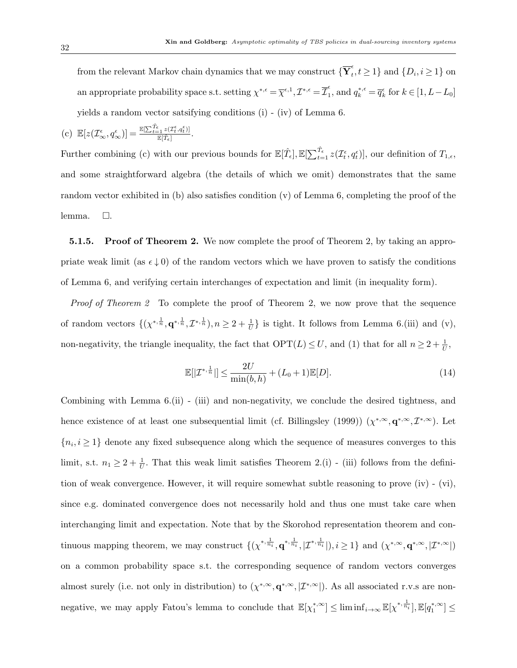from the relevant Markov chain dynamics that we may construct  $\{\overline{\mathbf{Y}}_t^{\epsilon}$  $\{t_i, t \geq 1\}$  and  $\{D_i, i \geq 1\}$  on an appropriate probability space s.t. setting  $\chi^{*,\epsilon} = \overline{\chi}^{\epsilon,1}, \mathcal{I}^{*,\epsilon} = \overline{\mathcal{I}}_1^{\epsilon}$  $a_1^{\epsilon}$ , and  $q_k^{*,\epsilon} = \overline{q}_k^{\epsilon}$  for  $k \in [1, L - L_0]$ yields a random vector satsifying conditions (i) - (iv) of Lemma 6.

(c) 
$$
\mathbb{E}[z(\mathcal{I}_{\infty}^{\epsilon}, q_{\infty}^{\epsilon})] = \frac{\mathbb{E}[\sum_{t=1}^{\hat{T}_{\epsilon}} z(\mathcal{I}_{t}^{\epsilon}, q_{t}^{\epsilon})]}{\mathbb{E}[\hat{T}_{\epsilon}]}.
$$

Further combining (c) with our previous bounds for  $\mathbb{E}[\hat{T}_{\epsilon}], \mathbb{E}[\sum_{t=1}^{\hat{T}_{\epsilon}} z(\mathcal{I}_{t}^{\epsilon}, q_{t}^{\epsilon})],$  our definition of  $T_{1,\epsilon}$ , and some straightforward algebra (the details of which we omit) demonstrates that the same random vector exhibited in (b) also satisfies condition (v) of Lemma 6, completing the proof of the lemma.  $\Box$ .

**5.1.5. Proof of Theorem 2.** We now complete the proof of Theorem 2, by taking an appropriate weak limit (as  $\epsilon \downarrow 0$ ) of the random vectors which we have proven to satisfy the conditions of Lemma 6, and verifying certain interchanges of expectation and limit (in inequality form).

Proof of Theorem 2 To complete the proof of Theorem 2, we now prove that the sequence of random vectors  $\{(\chi^{*,\frac{1}{n}},\mathbf{q}^{*,\frac{1}{n}},\mathcal{I}^{*,\frac{1}{n}}),n\geq 2+\frac{1}{U}\}\$ is tight. It follows from Lemma 6.(iii) and (v), non-negativity, the triangle inequality, the fact that  $\text{OPT}(L) \leq U$ , and (1) that for all  $n \geq 2 + \frac{1}{U}$ ,

$$
\mathbb{E}[|\mathcal{I}^{*,\frac{1}{n}}|] \le \frac{2U}{\min(b,h)} + (L_0 + 1)\mathbb{E}[D].
$$
\n(14)

Combining with Lemma 6.(ii) - (iii) and non-negativity, we conclude the desired tightness, and hence existence of at least one subsequential limit (cf. Billingsley (1999))  $(\chi^{*,\infty}, \mathbf{q}^{*,\infty}, \mathcal{I}^{*,\infty})$ . Let  ${n_i, i \geq 1}$  denote any fixed subsequence along which the sequence of measures converges to this limit, s.t.  $n_1 \geq 2 + \frac{1}{U}$ . That this weak limit satisfies Theorem 2.(i) - (iii) follows from the definition of weak convergence. However, it will require somewhat subtle reasoning to prove (iv) - (vi), since e.g. dominated convergence does not necessarily hold and thus one must take care when interchanging limit and expectation. Note that by the Skorohod representation theorem and continuous mapping theorem, we may construct  $\{(\chi^{*,\frac{1}{n_i}}, q^{*,\frac{1}{n_i}},|\mathcal{I}^{*,\frac{1}{n_i}}|), i\geq 1\}$  and  $(\chi^{*,\infty}, \mathbf{q}^{*,\infty},|\mathcal{I}^{*,\infty}|)$ on a common probability space s.t. the corresponding sequence of random vectors converges almost surely (i.e. not only in distribution) to  $(\chi^{*,\infty}, \mathbf{q}^{*,\infty},|\mathcal{I}^{*,\infty}|)$ . As all associated r.v.s are nonnegative, we may apply Fatou's lemma to conclude that  $\mathbb{E}[\chi_1^{*,\infty}] \leq \liminf_{i \to \infty} \mathbb{E}[\chi^{*,\frac{1}{n_i}}], \mathbb{E}[q_1^{*,\infty}] \leq$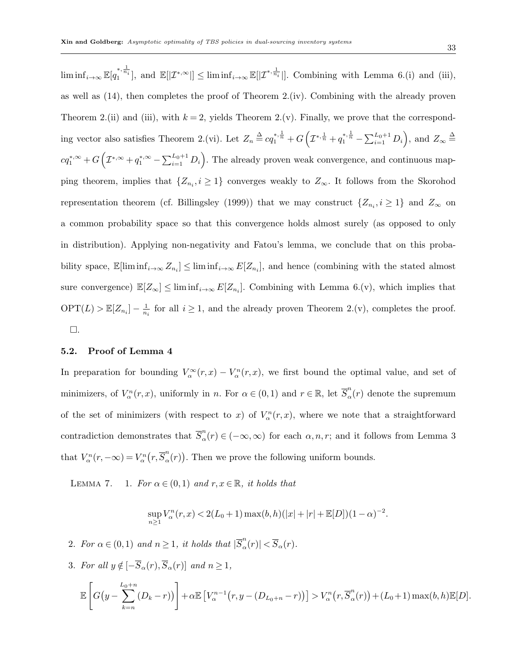$\liminf_{i\to\infty} \mathbb{E}[q_1^{*,\frac{1}{n_i}}],$  and  $\mathbb{E}[|\mathcal{I}^{*,\infty}|] \leq \liminf_{i\to\infty} \mathbb{E}[|\mathcal{I}^{*,\frac{1}{n_i}}|].$  Combining with Lemma 6.(i) and (iii), as well as  $(14)$ , then completes the proof of Theorem 2.(iv). Combining with the already proven Theorem 2.(ii) and (iii), with  $k = 2$ , yields Theorem 2.(v). Finally, we prove that the corresponding vector also satisfies Theorem 2.(vi). Let  $Z_n \stackrel{\Delta}{=} cq_1^{*,\frac{1}{n}} + G\left(\mathcal{I}^{*,\frac{1}{n}} + q_1^{*,\frac{1}{n}} - \sum_{i=1}^{L_0+1} D_i\right)$ , and  $Z_{\infty} \stackrel{\Delta}{=}$  $cq_1^{*,\infty}+G\left(\mathcal{I}^{*,\infty}+q_1^{*,\infty}-\sum_{i=1}^{L_0+1}D_i\right)$ . The already proven weak convergence, and continuous mapping theorem, implies that  $\{Z_{n_i}, i \geq 1\}$  converges weakly to  $Z_{\infty}$ . It follows from the Skorohod representation theorem (cf. Billingsley (1999)) that we may construct  $\{Z_{n_i}, i \geq 1\}$  and  $Z_{\infty}$  on a common probability space so that this convergence holds almost surely (as opposed to only in distribution). Applying non-negativity and Fatou's lemma, we conclude that on this probability space,  $\mathbb{E}[\liminf_{i\to\infty} Z_{n_i}] \leq \liminf_{i\to\infty} E[Z_{n_i}]$ , and hence (combining with the stated almost sure convergence)  $\mathbb{E}[Z_{\infty}] \leq \liminf_{i \to \infty} E[Z_{n_i}]$ . Combining with Lemma 6.(v), which implies that  $\mathrm{OPT}(L) > \mathbb{E}[Z_{n_i}] - \frac{1}{n_i}$  $\frac{1}{n_i}$  for all  $i \geq 1$ , and the already proven Theorem 2.(v), completes the proof.  $\square.$ 

#### 5.2. Proof of Lemma 4

In preparation for bounding  $V_\alpha^\infty(r,x) - V_\alpha^n(r,x)$ , we first bound the optimal value, and set of minimizers, of  $V_\alpha^n(r, x)$ , uniformly in n. For  $\alpha \in (0, 1)$  and  $r \in \mathbb{R}$ , let  $\overline{S}_\alpha^n$  $\int_{\alpha}^{n}(r)$  denote the supremum of the set of minimizers (with respect to x) of  $V_\alpha^n(r, x)$ , where we note that a straightforward contradiction demonstrates that  $\overline{S}_{\alpha}^{n}$  $\alpha_{\alpha}^{n}(r) \in (-\infty, \infty)$  for each  $\alpha, n, r$ ; and it follows from Lemma 3 that  $V_{\alpha}^{n}(r, -\infty) = V_{\alpha}^{n}(r, \overline{S}_{\alpha}^{n})$  $\binom{n}{\alpha}(r)$ . Then we prove the following uniform bounds.

LEMMA 7. 1. For  $\alpha \in (0,1)$  and  $r, x \in \mathbb{R}$ , it holds that

$$
\sup_{n\geq 1} V_{\alpha}^{n}(r, x) < 2(L_0 + 1) \max(b, h)(|x| + |r| + \mathbb{E}[D])(1 - \alpha)^{-2}
$$

.

2. For  $\alpha \in (0,1)$  and  $n \geq 1$ , it holds that  $|\overline{S}_{\alpha}^{n}|$  $\vert \frac{n}{\alpha}(r) \vert < \overline{S}_{\alpha}(r).$ 

3. For all  $y \notin [-\overline{S}_{\alpha}(r),\overline{S}_{\alpha}(r)]$  and  $n \geq 1$ ,

$$
\mathbb{E}\left[G\big(y-\sum_{k=n}^{L_0+n}(D_k-r)\big)\right]+\alpha \mathbb{E}\left[V_{\alpha}^{n-1}\big(r,y-(D_{L_0+n}-r)\big)\right]>V_{\alpha}^n\big(r,\overline{S}_{\alpha}^n(r)\big)+(L_0+1)\max(b,h)\mathbb{E}[D].
$$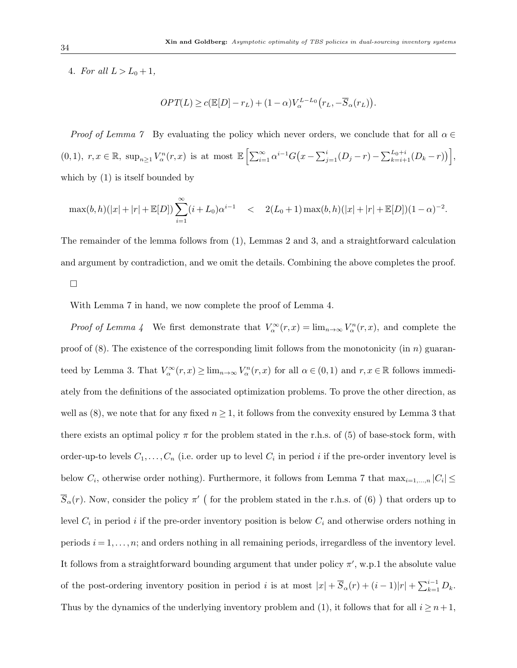4. For all  $L > L_0 + 1$ ,

$$
OPT(L) \ge c(\mathbb{E}[D] - r_L) + (1 - \alpha)V_{\alpha}^{L-L_0}(r_L, -\overline{S}_{\alpha}(r_L)).
$$

Proof of Lemma 7 By evaluating the policy which never orders, we conclude that for all  $\alpha \in$  $(0,1), r, x \in \mathbb{R}, \ \sup_{n\geq 1} V_\alpha^n(r,x)$  is at most  $\mathbb{E}\left[\sum_{i=1}^\infty \alpha^{i-1}G(x-\sum_{j=1}^i (D_j-r)-\sum_{k=i+1}^{L_0+i} (D_k-r))\right],$ which by (1) is itself bounded by

$$
\max(b,h)(|x|+|r|+\mathbb{E}[D])\sum_{i=1}^{\infty}(i+L_0)\alpha^{i-1} \quad < \quad 2(L_0+1)\max(b,h)(|x|+|r|+\mathbb{E}[D])(1-\alpha)^{-2}.
$$

The remainder of the lemma follows from (1), Lemmas 2 and 3, and a straightforward calculation and argument by contradiction, and we omit the details. Combining the above completes the proof.

 $\Box$ 

With Lemma 7 in hand, we now complete the proof of Lemma 4.

*Proof of Lemma 4* We first demonstrate that  $V_\alpha^\infty(r,x) = \lim_{n\to\infty} V_\alpha^n(r,x)$ , and complete the proof of  $(8)$ . The existence of the corresponding limit follows from the monotonicity (in n) guaranteed by Lemma 3. That  $V_\alpha^\infty(r,x) \ge \lim_{n\to\infty} V_\alpha^n(r,x)$  for all  $\alpha\in(0,1)$  and  $r,x\in\mathbb{R}$  follows immediately from the definitions of the associated optimization problems. To prove the other direction, as well as  $(8)$ , we note that for any fixed  $n \geq 1$ , it follows from the convexity ensured by Lemma 3 that there exists an optimal policy  $\pi$  for the problem stated in the r.h.s. of (5) of base-stock form, with order-up-to levels  $C_1, \ldots, C_n$  (i.e. order up to level  $C_i$  in period i if the pre-order inventory level is below  $C_i$ , otherwise order nothing). Furthermore, it follows from Lemma 7 that  $\max_{i=1,\dots,n} |C_i|$  $\overline{S}_{\alpha}(r)$ . Now, consider the policy  $\pi'$  (for the problem stated in the r.h.s. of (6)) that orders up to level  $C_i$  in period i if the pre-order inventory position is below  $C_i$  and otherwise orders nothing in periods  $i = 1, \ldots, n$ ; and orders nothing in all remaining periods, irregardless of the inventory level. It follows from a straightforward bounding argument that under policy  $\pi'$ , w.p.1 the absolute value of the post-ordering inventory position in period i is at most  $|x| + \overline{S}_{\alpha}(r) + (i-1)|r| + \sum_{k=1}^{i-1} D_k$ . Thus by the dynamics of the underlying inventory problem and (1), it follows that for all  $i \geq n+1$ ,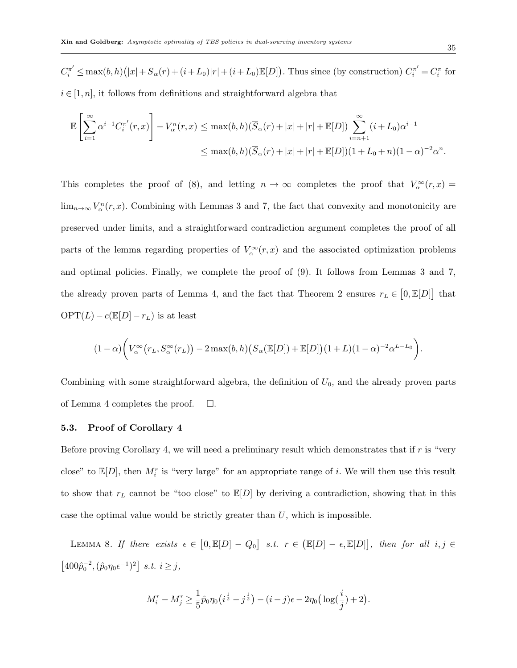$C_i^{\pi'} \leq \max(b, h) (|x| + \overline{S}_{\alpha}(r) + (i + L_0)|r| + (i + L_0) \mathbb{E}[D])$ . Thus since (by construction)  $C_i^{\pi'} = C_i^{\pi}$  for  $i \in [1, n]$ , it follows from definitions and straightforward algebra that

$$
\mathbb{E}\left[\sum_{i=1}^{\infty} \alpha^{i-1} C_i^{\pi'}(r,x)\right] - V_{\alpha}^{n}(r,x) \leq \max(b,h)(\overline{S}_{\alpha}(r) + |x| + |r| + \mathbb{E}[D]) \sum_{i=n+1}^{\infty} (i+L_0)\alpha^{i-1} \leq \max(b,h)(\overline{S}_{\alpha}(r) + |x| + |r| + \mathbb{E}[D])(1 + L_0 + n)(1-\alpha)^{-2}\alpha^n.
$$

This completes the proof of (8), and letting  $n \to \infty$  completes the proof that  $V_\alpha^\infty(r,x) =$  $\lim_{n\to\infty} V_\alpha^n(r,x)$ . Combining with Lemmas 3 and 7, the fact that convexity and monotonicity are preserved under limits, and a straightforward contradiction argument completes the proof of all parts of the lemma regarding properties of  $V_\alpha^\infty(r,x)$  and the associated optimization problems and optimal policies. Finally, we complete the proof of (9). It follows from Lemmas 3 and 7, the already proven parts of Lemma 4, and the fact that Theorem 2 ensures  $r_L \in [0, \mathbb{E}[D]]$  that  $\mathrm{OPT}(L) - c(\mathbb{E}[D] - r_L)$  is at least

$$
(1-\alpha)\bigg(V_\alpha^\infty(r_L,S_\alpha^\infty(r_L))-2\max(b,h)\big(\overline{S}_\alpha(\mathbb{E}[D])+ \mathbb{E}[D]\big)(1+L)(1-\alpha)^{-2}\alpha^{L-L_0}\bigg).
$$

Combining with some straightforward algebra, the definition of  $U_0$ , and the already proven parts of Lemma 4 completes the proof.  $\square$ .

#### 5.3. Proof of Corollary 4

Before proving Corollary 4, we will need a preliminary result which demonstrates that if  $r$  is "very close" to  $\mathbb{E}[D]$ , then  $M_i^r$  is "very large" for an appropriate range of i. We will then use this result to show that  $r<sub>L</sub>$  cannot be "too close" to  $\mathbb{E}[D]$  by deriving a contradiction, showing that in this case the optimal value would be strictly greater than  $U$ , which is impossible.

LEMMA 8. If there exists  $\epsilon \in [0, \mathbb{E}[D] - Q_0]$  s.t.  $r \in (\mathbb{E}[D] - \epsilon, \mathbb{E}[D])$ , then for all  $i, j \in$  $[400\hat{p}_0^{-2}, (\hat{p}_0\eta_0\epsilon^{-1})^2]$  s.t.  $i \geq j$ ,

$$
M_i^r - M_j^r \ge \frac{1}{5}\hat{p}_0\eta_0(i^{\frac{1}{2}} - j^{\frac{1}{2}}) - (i - j)\epsilon - 2\eta_0(\log(\frac{i}{j}) + 2).
$$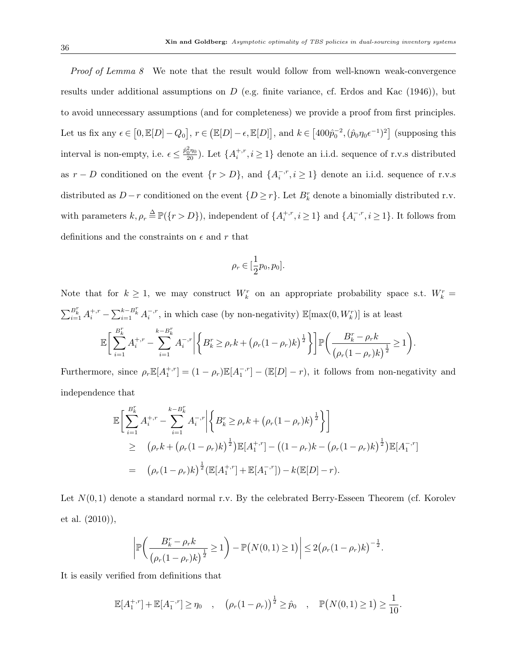Proof of Lemma 8 We note that the result would follow from well-known weak-convergence results under additional assumptions on  $D$  (e.g. finite variance, cf. Erdos and Kac  $(1946)$ ), but to avoid unnecessary assumptions (and for completeness) we provide a proof from first principles. Let us fix any  $\epsilon \in [0, \mathbb{E}[D] - Q_0], r \in (\mathbb{E}[D] - \epsilon, \mathbb{E}[D]],$  and  $k \in [400\hat{p}_0^{-2}, (\hat{p}_0\eta_0\epsilon^{-1})^2]$  (supposing this interval is non-empty, i.e.  $\epsilon \leq \frac{\hat{p}_0^2 \eta_0}{20}$ . Let  $\{A_i^{+,r}, i \geq 1\}$  denote an i.i.d. sequence of r.v.s distributed as  $r - D$  conditioned on the event  $\{r > D\}$ , and  $\{A_i^{-,r}, i \ge 1\}$  denote an i.i.d. sequence of r.v.s distributed as  $D-r$  conditioned on the event  $\{D \geq r\}$ . Let  $B_k^r$  denote a binomially distributed r.v. with parameters  $k, \rho_r \stackrel{\Delta}{=} \mathbb{P}(\{r > D\})$ , independent of  $\{A_i^{+,r}, i \geq 1\}$  and  $\{A_i^{-,r}, i \geq 1\}$ . It follows from definitions and the constraints on  $\epsilon$  and  $r$  that

$$
\rho_r \in [\frac{1}{2}p_0, p_0].
$$

Note that for  $k \geq 1$ , we may construct  $W_k^r$  on an appropriate probability space s.t.  $W_k^r =$  $\sum_{i=1}^{B_k^r} A_i^{+,r} - \sum_{i=1}^{k-B_k^r} A_i^{-,r}$ , in which case (by non-negativity)  $\mathbb{E}[\max(0, W_k^r)]$  is at least  $\mathbb{E} \left[ \sum_{k=1}^{B_k^r} \right]$  $i=1$  $A_i^{+,r} \sum_{k=-N}^{k-B_k^r}$  $i=1$  $A_i^{-,r}$   $\left\{B_k^r \geq \rho_r k + \left(\rho_r(1-\rho_r)k\right)^{\frac{1}{2}}\right\}\bigg] \mathbb{P}\bigg(\frac{B_k^r - \rho_r k}{\sqrt{2\pi} \rho_r k} \bigg)$  $\frac{B_k^r - \rho_r k}{(\rho_r(1 - \rho_r)k)^{\frac{1}{2}}} \ge 1$ 

Furthermore, since  $\rho_r \mathbb{E}[A_1^{+,r}] = (1 - \rho_r) \mathbb{E}[A_1^{-,r}] - (\mathbb{E}[D] - r)$ , it follows from non-negativity and independence that

$$
\mathbb{E}\bigg[\sum_{i=1}^{B_k^r} A_i^{+,r} - \sum_{i=1}^{k-B_k^r} A_i^{-,r} \bigg| \bigg\{ B_k^r \ge \rho_r k + \big(\rho_r (1-\rho_r)k\big)^{\frac{1}{2}} \bigg\} \bigg]
$$
\n
$$
\ge \big(\rho_r k + \big(\rho_r (1-\rho_r)k\big)^{\frac{1}{2}} \big) \mathbb{E}[A_1^{+,r}] - \big((1-\rho_r)k - \big(\rho_r (1-\rho_r)k\big)^{\frac{1}{2}} \big) \mathbb{E}[A_1^{-,r}]
$$
\n
$$
= \big(\rho_r (1-\rho_r)k\big)^{\frac{1}{2}} \big(\mathbb{E}[A_1^{+,r}] + \mathbb{E}[A_1^{-,r}]\big) - k(\mathbb{E}[D]-r).
$$

Let  $N(0, 1)$  denote a standard normal r.v. By the celebrated Berry-Esseen Theorem (cf. Korolev et al. (2010)),

$$
\left| \mathbb{P}\left( \frac{B_k^r - \rho_r k}{(\rho_r (1 - \rho_r)k)^{\frac{1}{2}}} \ge 1 \right) - \mathbb{P}\left( N(0, 1) \ge 1 \right) \right| \le 2(\rho_r (1 - \rho_r)k)^{-\frac{1}{2}}.
$$

It is easily verified from definitions that

$$
\mathbb{E}[A_1^{+,r}] + \mathbb{E}[A_1^{-,r}] \ge \eta_0 \quad , \quad (\rho_r(1-\rho_r))^{\frac{1}{2}} \ge \hat{p}_0 \quad , \quad \mathbb{P}(N(0,1) \ge 1) \ge \frac{1}{10}.
$$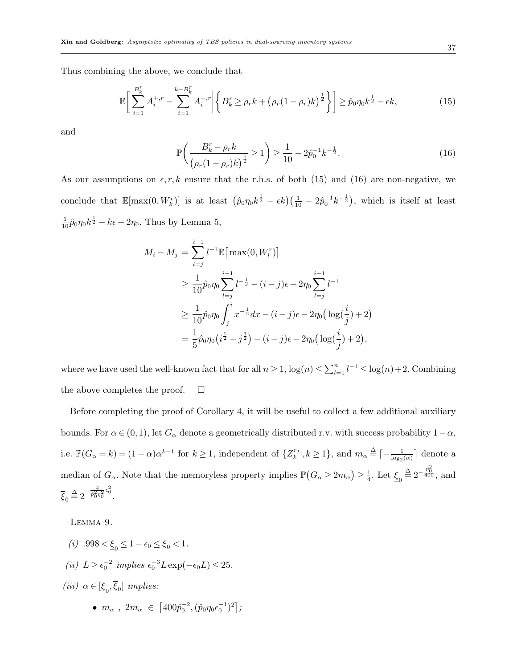Thus combining the above, we conclude that

$$
\mathbb{E}\bigg[\sum_{i=1}^{B_k^r} A_i^{+,r} - \sum_{i=1}^{k-B_k^r} A_i^{-,r} \bigg| \bigg\{ B_k^r \ge \rho_r k + \left(\rho_r (1-\rho_r)k\right)^{\frac{1}{2}} \bigg\} \bigg] \ge \hat{p}_0 \eta_0 k^{\frac{1}{2}} - \epsilon k,\tag{15}
$$

and

$$
\mathbb{P}\left(\frac{B_k^r - \rho_r k}{\left(\rho_r(1 - \rho_r)k\right)^{\frac{1}{2}}} \ge 1\right) \ge \frac{1}{10} - 2\hat{p}_0^{-1}k^{-\frac{1}{2}}.\tag{16}
$$

As our assumptions on  $\epsilon, r, k$  ensure that the r.h.s. of both (15) and (16) are non-negative, we conclude that  $\mathbb{E}[\max(0, W_k^r)]$  is at least  $(\hat{p}_0 \eta_0 k^{\frac{1}{2}} - \epsilon k)(\frac{1}{10} - 2\hat{p}_0^{-1}k^{-\frac{1}{2}})$ , which is itself at least  $\frac{1}{10}\hat{p}_0\eta_0k^{\frac{1}{2}} - k\epsilon - 2\eta_0$ . Thus by Lemma 5,

$$
M_i - M_j = \sum_{l=j}^{i-1} l^{-1} \mathbb{E} \big[ \max(0, W_l^r) \big]
$$
  
\n
$$
\geq \frac{1}{10} \hat{p}_0 \eta_0 \sum_{l=j}^{i-1} l^{-\frac{1}{2}} - (i-j)\epsilon - 2\eta_0 \sum_{l=j}^{i-1} l^{-1}
$$
  
\n
$$
\geq \frac{1}{10} \hat{p}_0 \eta_0 \int_j^i x^{-\frac{1}{2}} dx - (i-j)\epsilon - 2\eta_0 \big( \log(\frac{i}{j}) + 2 \big)
$$
  
\n
$$
= \frac{1}{5} \hat{p}_0 \eta_0 \big( i^{\frac{1}{2}} - j^{\frac{1}{2}} \big) - (i-j)\epsilon - 2\eta_0 \big( \log(\frac{i}{j}) + 2 \big),
$$

where we have used the well-known fact that for all  $n \geq 1$ ,  $\log(n) \leq \sum_{l=1}^{n} l^{-1} \leq \log(n) + 2$ . Combining the above completes the proof.  $\Box$ 

Before completing the proof of Corollary 4, it will be useful to collect a few additional auxiliary bounds. For  $\alpha \in (0, 1)$ , let  $G_{\alpha}$  denote a geometrically distributed r.v. with success probability  $1-\alpha$ , i.e.  $\mathbb{P}(G_{\alpha} = k) = (1 - \alpha)\alpha^{k-1}$  for  $k \ge 1$ , independent of  $\{Z_k^{r_L}, k \ge 1\}$ , and  $m_{\alpha} \triangleq \lceil -\frac{1}{\log_2(\alpha)} \rceil$  denote a median of  $G_{\alpha}$ . Note that the memoryless property implies  $\mathbb{P}(G_{\alpha} \geq 2m_{\alpha}) \geq \frac{1}{4}$  $\frac{1}{4}$ . Let  $\underline{\xi}_0 \stackrel{\Delta}{=} 2^{-\frac{\hat{p}_0^2}{400}},$  and  $\overline{\xi}_0 \stackrel{\Delta}{=} 2^{-\frac{4}{\hat{p}_0^2 \eta_0^2} \epsilon_0^2}.$ 

Lemma 9.

(*i*)  $.998 < \underline{\xi}_0 \leq 1 - \epsilon_0 \leq \xi_0 < 1$ . (*ii*)  $L \geq \epsilon_0^{-2}$  implies  $\epsilon_0^{-3} L \exp(-\epsilon_0 L) \leq 25$ . (iii)  $\alpha \in [\underline{\xi}_0, \xi_0]$  implies: •  $m_{\alpha}$ ,  $2m_{\alpha} \in [400 \hat{p}_0^{-2}, (\hat{p}_0 \eta_0 \epsilon_0^{-1})^2];$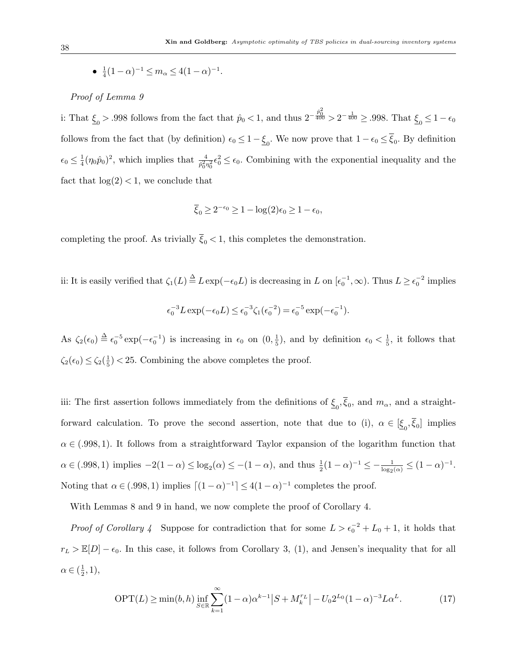• 
$$
\frac{1}{4}(1-\alpha)^{-1} \le m_\alpha \le 4(1-\alpha)^{-1}
$$
.

## Proof of Lemma 9

i: That  $\xi_0 > .998$  follows from the fact that  $\hat{p}_0 < 1$ , and thus  $2^{-\frac{\hat{p}_0^2}{400}} > 2^{-\frac{1}{400}} \ge .998$ . That  $\xi_0 \le 1 - \epsilon_0$ follows from the fact that (by definition)  $\epsilon_0 \leq 1 - \underline{\xi}_0$ . We now prove that  $1 - \epsilon_0 \leq \xi_0$ . By definition  $\epsilon_0 \leq \frac{1}{4}$  $\frac{1}{4}(\eta_0\hat{p}_0)^2$ , which implies that  $\frac{4}{\hat{p}_0^2\eta_0^2}\epsilon_0^2 \leq \epsilon_0$ . Combining with the exponential inequality and the fact that  $log(2) < 1$ , we conclude that

$$
\overline{\xi}_0 \ge 2^{-\epsilon_0} \ge 1 - \log(2)\epsilon_0 \ge 1 - \epsilon_0,
$$

completing the proof. As trivially  $\overline{\xi}_0 < 1$ , this completes the demonstration.

ii: It is easily verified that  $\zeta_1(L) \stackrel{\Delta}{=} L \exp(-\epsilon_0 L)$  is decreasing in L on  $[\epsilon_0^{-1}, \infty)$ . Thus  $L \ge \epsilon_0^{-2}$  implies

$$
\epsilon_0^{-3} L \exp(-\epsilon_0 L) \le \epsilon_0^{-3} \zeta_1(\epsilon_0^{-2}) = \epsilon_0^{-5} \exp(-\epsilon_0^{-1}).
$$

As  $\zeta_2(\epsilon_0) \stackrel{\Delta}{=} \epsilon_0^{-5} \exp(-\epsilon_0^{-1})$  is increasing in  $\epsilon_0$  on  $(0, \frac{1}{5})$  $(\frac{1}{5})$ , and by definition  $\epsilon_0 < \frac{1}{5}$  $\frac{1}{5}$ , it follows that  $\zeta_2(\epsilon_0) \leq \zeta_2(\frac{1}{5})$  $(\frac{1}{5})$  < 25. Combining the above completes the proof.

iii: The first assertion follows immediately from the definitions of  $\xi_0$ ,  $\xi_0$ , and  $m_\alpha$ , and a straightforward calculation. To prove the second assertion, note that due to (i),  $\alpha \in [\underline{\xi}_0, \xi_0]$  implies  $\alpha \in (0.998, 1)$ . It follows from a straightforward Taylor expansion of the logarithm function that  $\alpha \in (.998, 1)$  implies  $-2(1-\alpha) \le \log_2(\alpha) \le -(1-\alpha)$ , and thus  $\frac{1}{2}(1-\alpha)^{-1} \le -\frac{1}{\log_2(\alpha)} \le (1-\alpha)^{-1}$ . Noting that  $\alpha \in (0.998, 1)$  implies  $\lceil (1 - \alpha)^{-1} \rceil \leq 4(1 - \alpha)^{-1}$  completes the proof.

With Lemmas 8 and 9 in hand, we now complete the proof of Corollary 4.

*Proof of Corollary 4* Suppose for contradiction that for some  $L > \epsilon_0^{-2} + L_0 + 1$ , it holds that  $r_L > \mathbb{E}[D] - \epsilon_0$ . In this case, it follows from Corollary 3, (1), and Jensen's inequality that for all  $\alpha \in (\frac{1}{2})$  $(\frac{1}{2}, 1),$ 

$$
\text{OPT}(L) \ge \min(b, h) \inf_{S \in \mathbb{R}} \sum_{k=1}^{\infty} (1 - \alpha) \alpha^{k-1} |S + M_k^{r_L}| - U_0 2^{L_0} (1 - \alpha)^{-3} L \alpha^L. \tag{17}
$$